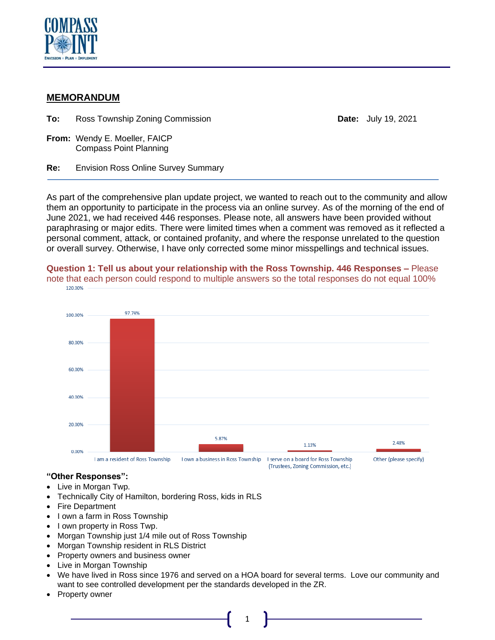

# **MEMORANDUM**

**To:** Ross Township Zoning Commission **Date:** July 19, 2021

**From:** Wendy E. Moeller, FAICP Compass Point Planning

**Re:** Envision Ross Online Survey Summary

As part of the comprehensive plan update project, we wanted to reach out to the community and allow them an opportunity to participate in the process via an online survey. As of the morning of the end of June 2021, we had received 446 responses. Please note, all answers have been provided without paraphrasing or major edits. There were limited times when a comment was removed as it reflected a personal comment, attack, or contained profanity, and where the response unrelated to the question or overall survey. Otherwise, I have only corrected some minor misspellings and technical issues.



**Question 1: Tell us about your relationship with the Ross Township. 446 Responses –** Please note that each person could respond to multiple answers so the total responses do not equal 100% 120,00%

## **"Other Responses":**

- Live in Morgan Twp.
- Technically City of Hamilton, bordering Ross, kids in RLS
- **Fire Department**
- I own a farm in Ross Township
- I own property in Ross Twp.
- Morgan Township just 1/4 mile out of Ross Township
- Morgan Township resident in RLS District
- Property owners and business owner
- Live in Morgan Township
- We have lived in Ross since 1976 and served on a HOA board for several terms. Love our community and want to see controlled development per the standards developed in the ZR.
- Property owner

1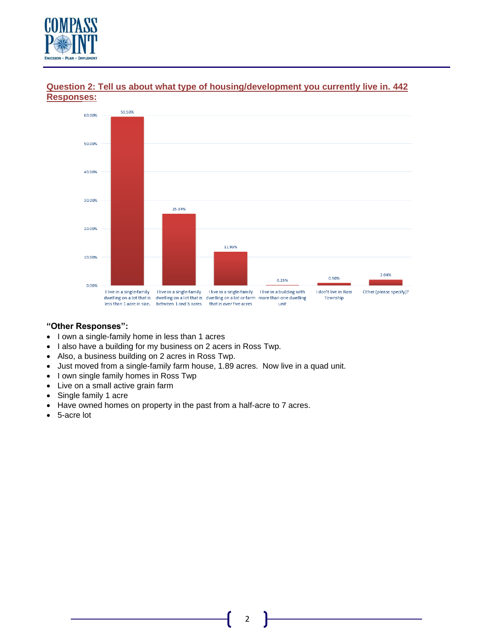



## **Question 2: Tell us about what type of housing/development you currently live in. 442 Responses:**

#### **"Other Responses":**

- I own a single-family home in less than 1 acres
- I also have a building for my business on 2 acers in Ross Twp.
- Also, a business building on 2 acres in Ross Twp.
- Just moved from a single-family farm house, 1.89 acres. Now live in a quad unit.
- I own single family homes in Ross Twp
- Live on a small active grain farm
- Single family 1 acre
- Have owned homes on property in the past from a half-acre to 7 acres.
- 5-acre lot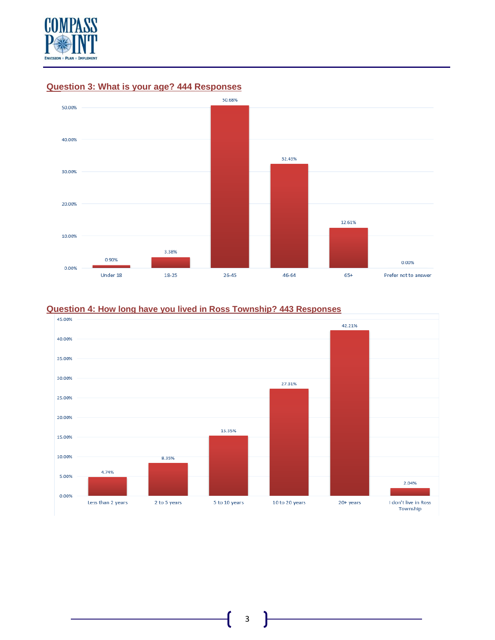



# **Question 3: What is your age? 444 Responses**

### **Question 4: How long have you lived in Ross Township? 443 Responses**

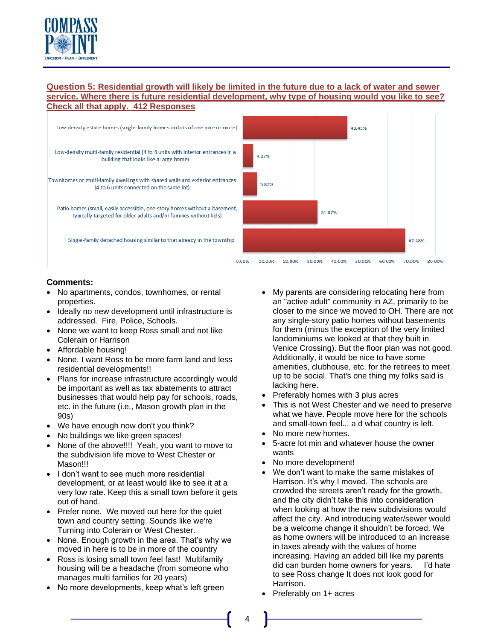

## **Question 5: Residential growth will likely be limited in the future due to a lack of water and sewer service. Where there is future residential development, why type of housing would you like to see? Check all that apply. 412 Responses**



- No apartments, condos, townhomes, or rental properties.
- Ideally no new development until infrastructure is addressed. Fire, Police, Schools.
- None we want to keep Ross small and not like Colerain or Harrison
- Affordable housing!
- None. I want Ross to be more farm land and less residential developments!!
- Plans for increase infrastructure accordingly would be important as well as tax abatements to attract businesses that would help pay for schools, roads, etc. in the future (i.e., Mason growth plan in the 90s)
- We have enough now don't you think?
- No buildings we like green spaces!
- None of the above!!!! Yeah, you want to move to the subdivision life move to West Chester or Mason!!!
- I don't want to see much more residential development, or at least would like to see it at a very low rate. Keep this a small town before it gets out of hand.
- Prefer none. We moved out here for the quiet town and country setting. Sounds like we're Turning into Colerain or West Chester.
- None. Enough growth in the area. That's why we moved in here is to be in more of the country
- Ross is losing small town feel fast! Multifamily housing will be a headache (from someone who manages multi families for 20 years)
- No more developments, keep what's left green
- My parents are considering relocating here from an "active adult" community in AZ, primarily to be closer to me since we moved to OH. There are not any single-story patio homes without basements for them (minus the exception of the very limited landominiums we looked at that they built in Venice Crossing). But the floor plan was not good. Additionally, it would be nice to have some amenities, clubhouse, etc. for the retirees to meet up to be social. That's one thing my folks said is lacking here.
- Preferably homes with 3 plus acres
- This is not West Chester and we need to preserve what we have. People move here for the schools and small-town feel... a d what country is left.
- No more new homes.
- 5-acre lot min and whatever house the owner wants
- No more development!
- We don't want to make the same mistakes of Harrison. It's why I moved. The schools are crowded the streets aren't ready for the growth, and the city didn't take this into consideration when looking at how the new subdivisions would affect the city. And introducing water/sewer would be a welcome change it shouldn't be forced. We as home owners will be introduced to an increase in taxes already with the values of home increasing. Having an added bill like my parents did can burden home owners for years. I'd hate to see Ross change It does not look good for Harrison.
- Preferably on 1+ acres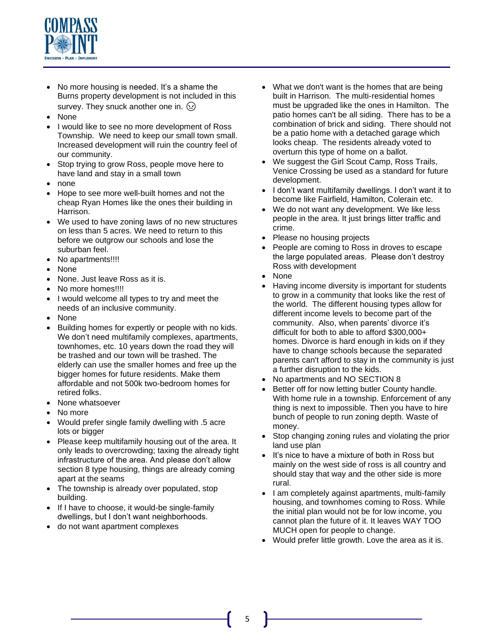

- No more housing is needed. It's a shame the Burns property development is not included in this survey. They snuck another one in.  $\Omega$
- None
- I would like to see no more development of Ross Township. We need to keep our small town small. Increased development will ruin the country feel of our community.
- Stop trying to grow Ross, people move here to have land and stay in a small town
- none
- Hope to see more well-built homes and not the cheap Ryan Homes like the ones their building in Harrison.
- We used to have zoning laws of no new structures on less than 5 acres. We need to return to this before we outgrow our schools and lose the suburban feel.
- No apartments!!!!
- None
- None. Just leave Ross as it is.
- No more homes!!!!
- I would welcome all types to try and meet the needs of an inclusive community.
- None
- Building homes for expertly or people with no kids. We don't need multifamily complexes, apartments, townhomes, etc. 10 years down the road they will be trashed and our town will be trashed. The elderly can use the smaller homes and free up the bigger homes for future residents. Make them affordable and not 500k two-bedroom homes for retired folks.
- None whatsoever
- No more
- Would prefer single family dwelling with .5 acre lots or bigger
- Please keep multifamily housing out of the area. It only leads to overcrowding; taxing the already tight infrastructure of the area. And please don't allow section 8 type housing, things are already coming apart at the seams
- The township is already over populated, stop building.
- If I have to choose, it would-be single-family dwellings, but I don't want neighborhoods.
- do not want apartment complexes
- What we don't want is the homes that are being built in Harrison. The multi-residential homes must be upgraded like the ones in Hamilton. The patio homes can't be all siding. There has to be a combination of brick and siding. There should not be a patio home with a detached garage which looks cheap. The residents already voted to overturn this type of home on a ballot.
- We suggest the Girl Scout Camp, Ross Trails, Venice Crossing be used as a standard for future development.
- I don't want multifamily dwellings. I don't want it to become like Fairfield, Hamilton, Colerain etc.
- We do not want any development. We like less people in the area. It just brings litter traffic and crime.
- Please no housing projects
- People are coming to Ross in droves to escape the large populated areas. Please don't destroy Ross with development
- None
- Having income diversity is important for students to grow in a community that looks like the rest of the world. The different housing types allow for different income levels to become part of the community. Also, when parents' divorce it's difficult for both to able to afford \$300,000+ homes. Divorce is hard enough in kids on if they have to change schools because the separated parents can't afford to stay in the community is just a further disruption to the kids.
- No apartments and NO SECTION 8
- Better off for now letting butler County handle. With home rule in a township. Enforcement of any thing is next to impossible. Then you have to hire bunch of people to run zoning depth. Waste of money.
- Stop changing zoning rules and violating the prior land use plan
- It's nice to have a mixture of both in Ross but mainly on the west side of ross is all country and should stay that way and the other side is more rural.
- I am completely against apartments, multi-family housing, and townhomes coming to Ross. While the initial plan would not be for low income, you cannot plan the future of it. It leaves WAY TOO MUCH open for people to change.
- Would prefer little growth. Love the area as it is.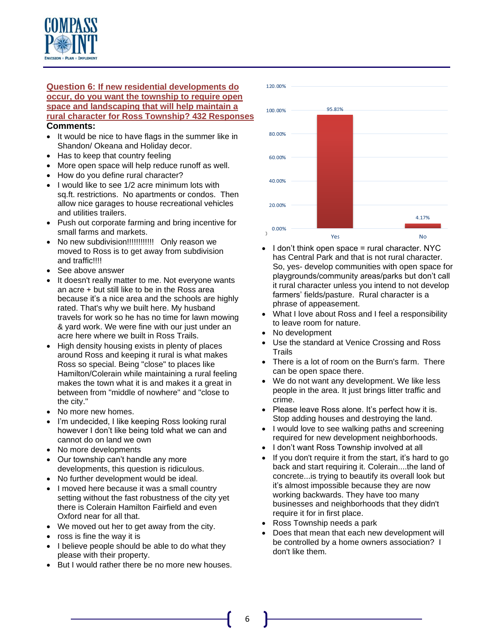

#### **Question 6: If new residential developments do occur, do you want the township to require open space and landscaping that will help maintain a rural character for Ross Township? 432 Responses Comments:**

- It would be nice to have flags in the summer like in Shandon/ Okeana and Holiday decor.
- Has to keep that country feeling
- More open space will help reduce runoff as well.
- How do you define rural character?
- I would like to see 1/2 acre minimum lots with sq.ft. restrictions. No apartments or condos. Then allow nice garages to house recreational vehicles and utilities trailers.
- Push out corporate farming and bring incentive for small farms and markets.
- No new subdivision!!!!!!!!!!!!!!!!!!! Only reason we moved to Ross is to get away from subdivision and traffic!!!!
- See above answer
- It doesn't really matter to me. Not everyone wants an acre + but still like to be in the Ross area because it's a nice area and the schools are highly rated. That's why we built here. My husband travels for work so he has no time for lawn mowing & yard work. We were fine with our just under an acre here where we built in Ross Trails.
- High density housing exists in plenty of places around Ross and keeping it rural is what makes Ross so special. Being "close" to places like Hamilton/Colerain while maintaining a rural feeling makes the town what it is and makes it a great in between from "middle of nowhere" and "close to the city."
- No more new homes.
- I'm undecided, I like keeping Ross looking rural however I don't like being told what we can and cannot do on land we own
- No more developments
- Our township can't handle any more developments, this question is ridiculous.
- No further development would be ideal.
- I moved here because it was a small country setting without the fast robustness of the city yet there is Colerain Hamilton Fairfield and even Oxford near for all that.
- We moved out her to get away from the city.
- ross is fine the way it is
- I believe people should be able to do what they please with their property.
- But I would rather there be no more new houses.



- I don't think open space = rural character. NYC has Central Park and that is not rural character. So, yes- develop communities with open space for playgrounds/community areas/parks but don't call it rural character unless you intend to not develop farmers' fields/pasture. Rural character is a phrase of appeasement.
- What I love about Ross and I feel a responsibility to leave room for nature.
- No development
- Use the standard at Venice Crossing and Ross Trails
- There is a lot of room on the Burn's farm. There can be open space there.
- We do not want any development. We like less people in the area. It just brings litter traffic and crime.
- Please leave Ross alone. It's perfect how it is. Stop adding houses and destroying the land.
- I would love to see walking paths and screening required for new development neighborhoods.
- I don't want Ross Township involved at all
- If you don't require it from the start, it's hard to go back and start requiring it. Colerain....the land of concrete...is trying to beautify its overall look but it's almost impossible because they are now working backwards. They have too many businesses and neighborhoods that they didn't require it for in first place.
- Ross Township needs a park
- Does that mean that each new development will be controlled by a home owners association? I don't like them.

6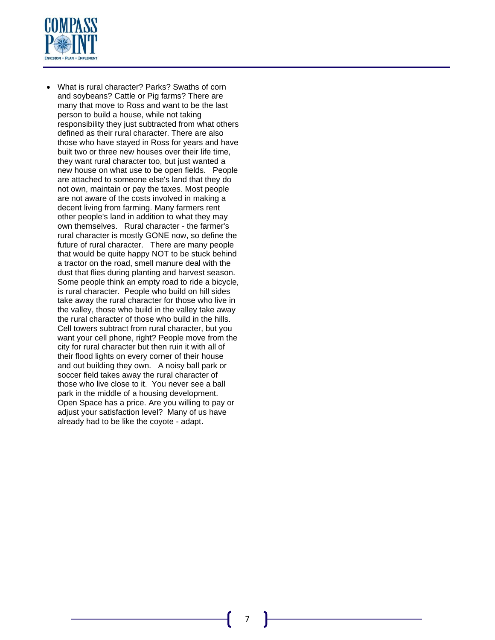

• What is rural character? Parks? Swaths of corn and soybeans? Cattle or Pig farms? There are many that move to Ross and want to be the last person to build a house, while not taking responsibility they just subtracted from what others defined as their rural character. There are also those who have stayed in Ross for years and have built two or three new houses over their life time, they want rural character too, but just wanted a new house on what use to be open fields. People are attached to someone else's land that they do not own, maintain or pay the taxes. Most people are not aware of the costs involved in making a decent living from farming. Many farmers rent other people's land in addition to what they may own themselves. Rural character - the farmer's rural character is mostly GONE now, so define the future of rural character. There are many people that would be quite happy NOT to be stuck behind a tractor on the road, smell manure deal with the dust that flies during planting and harvest season. Some people think an empty road to ride a bicycle, is rural character. People who build on hill sides take away the rural character for those who live in the valley, those who build in the valley take away the rural character of those who build in the hills. Cell towers subtract from rural character, but you want your cell phone, right? People move from the city for rural character but then ruin it with all of their flood lights on every corner of their house and out building they own. A noisy ball park or soccer field takes away the rural character of those who live close to it. You never see a ball park in the middle of a housing development. Open Space has a price. Are you willing to pay or adjust your satisfaction level? Many of us have already had to be like the coyote - adapt.

7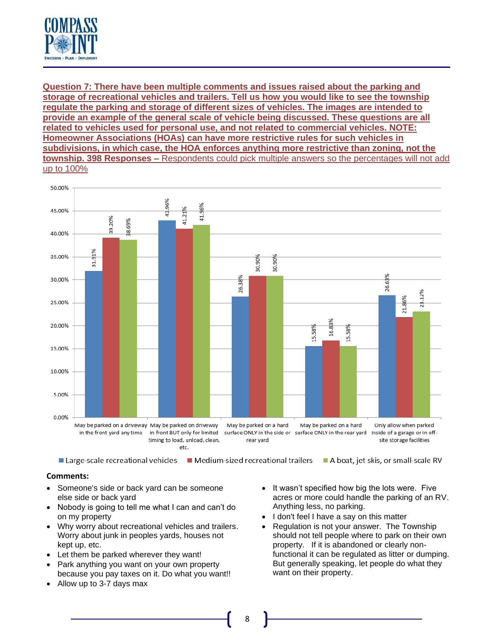

**Question 7: There have been multiple comments and issues raised about the parking and storage of recreational vehicles and trailers. Tell us how you would like to see the township regulate the parking and storage of different sizes of vehicles. The images are intended to provide an example of the general scale of vehicle being discussed. These questions are all related to vehicles used for personal use, and not related to commercial vehicles. NOTE: Homeowner Associations (HOAs) can have more restrictive rules for such vehicles in subdivisions, in which case, the HOA enforces anything more restrictive than zoning, not the township. 398 Responses –** Respondents could pick multiple answers so the percentages will not add up to 100%



■ Large-scale recreational vehicles ■ Medium-sized recreational trailers A boat, jet skis, or small-scale RV

- Someone's side or back yard can be someone else side or back yard
- Nobody is going to tell me what I can and can't do on my property
- Why worry about recreational vehicles and trailers. Worry about junk in peoples yards, houses not kept up, etc.
- Let them be parked wherever they want!
- Park anything you want on your own property because you pay taxes on it. Do what you want!!
- Allow up to 3-7 days max
- It wasn't specified how big the lots were. Five acres or more could handle the parking of an RV. Anything less, no parking.
- I don't feel I have a say on this matter
- Regulation is not your answer. The Township should not tell people where to park on their own property. If it is abandoned or clearly nonfunctional it can be regulated as litter or dumping. But generally speaking, let people do what they want on their property.
- 8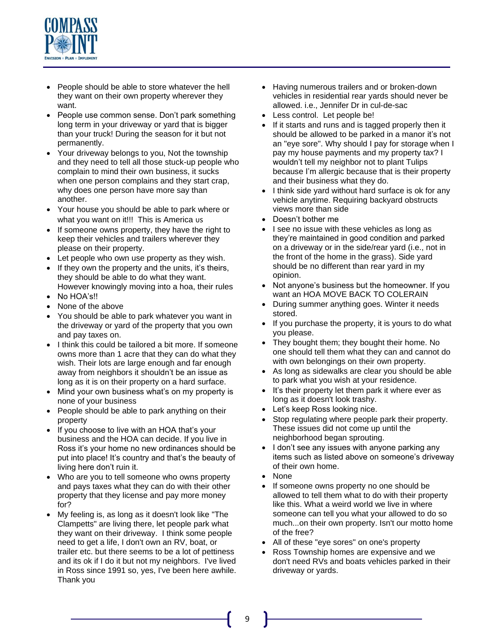

- People should be able to store whatever the hell they want on their own property wherever they want.
- People use common sense. Don't park something long term in your driveway or yard that is bigger than your truck! During the season for it but not permanently.
- Your driveway belongs to you, Not the township and they need to tell all those stuck-up people who complain to mind their own business, it sucks when one person complains and they start crap, why does one person have more say than another.
- Your house you should be able to park where or what you want on it!!! This is America us
- If someone owns property, they have the right to keep their vehicles and trailers wherever they please on their property.
- Let people who own use property as they wish.
- If they own the property and the units, it's theirs, they should be able to do what they want. However knowingly moving into a hoa, their rules
- No HOA's!!
- None of the above
- You should be able to park whatever you want in the driveway or yard of the property that you own and pay taxes on.
- I think this could be tailored a bit more. If someone owns more than 1 acre that they can do what they wish. Their lots are large enough and far enough away from neighbors it shouldn't be an issue as long as it is on their property on a hard surface.
- Mind your own business what's on my property is none of your business
- People should be able to park anything on their property
- If you choose to live with an HOA that's your business and the HOA can decide. If you live in Ross it's your home no new ordinances should be put into place! It's country and that's the beauty of living here don't ruin it.
- Who are you to tell someone who owns property and pays taxes what they can do with their other property that they license and pay more money for?
- My feeling is, as long as it doesn't look like "The Clampetts" are living there, let people park what they want on their driveway. I think some people need to get a life, I don't own an RV, boat, or trailer etc. but there seems to be a lot of pettiness and its ok if I do it but not my neighbors. I've lived in Ross since 1991 so, yes, I've been here awhile. Thank you
- Having numerous trailers and or broken-down vehicles in residential rear yards should never be allowed. i.e., Jennifer Dr in cul-de-sac
- Less control. Let people be!
- If it starts and runs and is tagged properly then it should be allowed to be parked in a manor it's not an "eye sore". Why should I pay for storage when I pay my house payments and my property tax? I wouldn't tell my neighbor not to plant Tulips because I'm allergic because that is their property and their business what they do.
- I think side yard without hard surface is ok for any vehicle anytime. Requiring backyard obstructs views more than side
- Doesn't bother me
- I see no issue with these vehicles as long as they're maintained in good condition and parked on a driveway or in the side/rear yard (i.e., not in the front of the home in the grass). Side yard should be no different than rear yard in my opinion.
- Not anyone's business but the homeowner. If you want an HOA MOVE BACK TO COLERAIN
- During summer anything goes. Winter it needs stored.
- If you purchase the property, it is yours to do what you please.
- They bought them; they bought their home. No one should tell them what they can and cannot do with own belongings on their own property.
- As long as sidewalks are clear you should be able to park what you wish at your residence.
- It's their property let them park it where ever as long as it doesn't look trashy.
- Let's keep Ross looking nice.
- Stop regulating where people park their property. These issues did not come up until the neighborhood began sprouting.
- I don't see any issues with anyone parking any items such as listed above on someone's driveway of their own home.
- None
- If someone owns property no one should be allowed to tell them what to do with their property like this. What a weird world we live in where someone can tell you what your allowed to do so much...on their own property. Isn't our motto home of the free?
- All of these "eye sores" on one's property
- Ross Township homes are expensive and we don't need RVs and boats vehicles parked in their driveway or yards.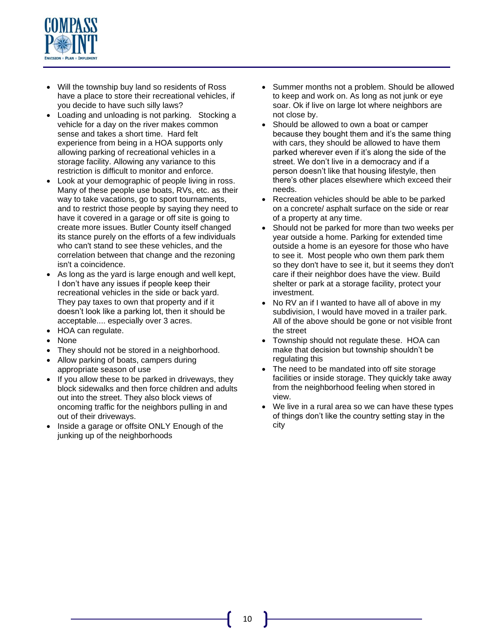

- Will the township buy land so residents of Ross have a place to store their recreational vehicles, if you decide to have such silly laws?
- Loading and unloading is not parking. Stocking a vehicle for a day on the river makes common sense and takes a short time. Hard felt experience from being in a HOA supports only allowing parking of recreational vehicles in a storage facility. Allowing any variance to this restriction is difficult to monitor and enforce.
- Look at your demographic of people living in ross. Many of these people use boats, RVs, etc. as their way to take vacations, go to sport tournaments, and to restrict those people by saying they need to have it covered in a garage or off site is going to create more issues. Butler County itself changed its stance purely on the efforts of a few individuals who can't stand to see these vehicles, and the correlation between that change and the rezoning isn't a coincidence.
- As long as the yard is large enough and well kept, I don't have any issues if people keep their recreational vehicles in the side or back yard. They pay taxes to own that property and if it doesn't look like a parking lot, then it should be acceptable.... especially over 3 acres.
- HOA can regulate.
- None
- They should not be stored in a neighborhood.
- Allow parking of boats, campers during appropriate season of use
- If you allow these to be parked in driveways, they block sidewalks and then force children and adults out into the street. They also block views of oncoming traffic for the neighbors pulling in and out of their driveways.
- Inside a garage or offsite ONLY Enough of the junking up of the neighborhoods
- Summer months not a problem. Should be allowed to keep and work on. As long as not junk or eye soar. Ok if live on large lot where neighbors are not close by.
- Should be allowed to own a boat or camper because they bought them and it's the same thing with cars, they should be allowed to have them parked wherever even if it's along the side of the street. We don't live in a democracy and if a person doesn't like that housing lifestyle, then there's other places elsewhere which exceed their needs.
- Recreation vehicles should be able to be parked on a concrete/ asphalt surface on the side or rear of a property at any time.
- Should not be parked for more than two weeks per year outside a home. Parking for extended time outside a home is an eyesore for those who have to see it. Most people who own them park them so they don't have to see it, but it seems they don't care if their neighbor does have the view. Build shelter or park at a storage facility, protect your investment.
- No RV an if I wanted to have all of above in my subdivision, I would have moved in a trailer park. All of the above should be gone or not visible front the street
- Township should not regulate these. HOA can make that decision but township shouldn't be regulating this
- The need to be mandated into off site storage facilities or inside storage. They quickly take away from the neighborhood feeling when stored in view.
- We live in a rural area so we can have these types of things don't like the country setting stay in the city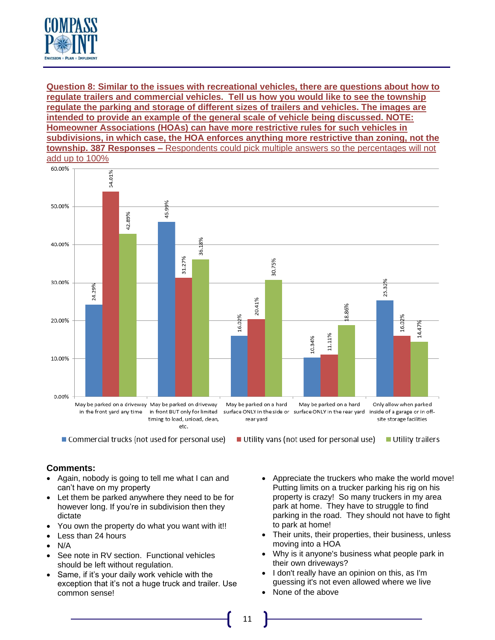

### **Question 8: Similar to the issues with recreational vehicles, there are questions about how to regulate trailers and commercial vehicles. Tell us how you would like to see the township regulate the parking and storage of different sizes of trailers and vehicles. The images are intended to provide an example of the general scale of vehicle being discussed. NOTE: Homeowner Associations (HOAs) can have more restrictive rules for such vehicles in subdivisions, in which case, the HOA enforces anything more restrictive than zoning, not the township. 387 Responses –** Respondents could pick multiple answers so the percentages will not add up to 100%



**Comments:**

- Again, nobody is going to tell me what I can and can't have on my property
- Let them be parked anywhere they need to be for however long. If you're in subdivision then they dictate
- You own the property do what you want with it!!
- Less than 24 hours
- N/A
- See note in RV section. Functional vehicles should be left without regulation.
- Same, if it's your daily work vehicle with the exception that it's not a huge truck and trailer. Use common sense!
- Appreciate the truckers who make the world move! Putting limits on a trucker parking his rig on his property is crazy! So many truckers in my area park at home. They have to struggle to find parking in the road. They should not have to fight to park at home!
- Their units, their properties, their business, unless moving into a HOA
- Why is it anyone's business what people park in their own driveways?
- I don't really have an opinion on this, as I'm guessing it's not even allowed where we live
- None of the above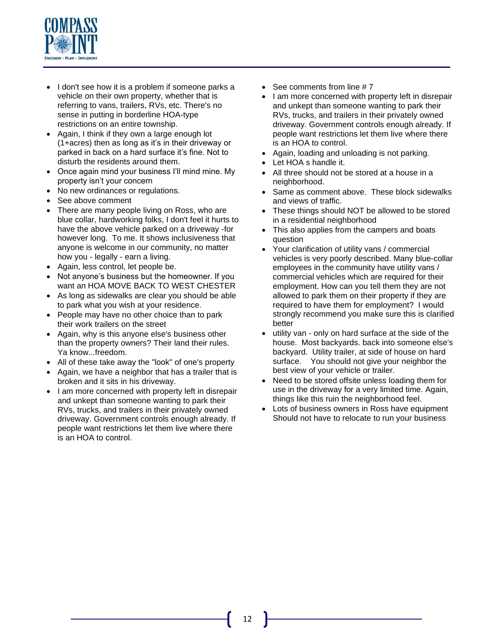

- I don't see how it is a problem if someone parks a vehicle on their own property, whether that is referring to vans, trailers, RVs, etc. There's no sense in putting in borderline HOA-type restrictions on an entire township.
- Again, I think if they own a large enough lot (1+acres) then as long as it's in their driveway or parked in back on a hard surface it's fine. Not to disturb the residents around them.
- Once again mind your business I'll mind mine. My property isn't your concern
- No new ordinances or regulations.
- See above comment
- There are many people living on Ross, who are blue collar, hardworking folks, I don't feel it hurts to have the above vehicle parked on a driveway -for however long. To me. It shows inclusiveness that anyone is welcome in our community, no matter how you - legally - earn a living.
- Again, less control, let people be.
- Not anyone's business but the homeowner. If you want an HOA MOVE BACK TO WEST CHESTER
- As long as sidewalks are clear you should be able to park what you wish at your residence.
- People may have no other choice than to park their work trailers on the street
- Again, why is this anyone else's business other than the property owners? Their land their rules. Ya know...freedom.
- All of these take away the "look" of one's property
- Again, we have a neighbor that has a trailer that is broken and it sits in his driveway.
- I am more concerned with property left in disrepair and unkept than someone wanting to park their RVs, trucks, and trailers in their privately owned driveway. Government controls enough already. If people want restrictions let them live where there is an HOA to control.
- See comments from line # 7
- I am more concerned with property left in disrepair and unkept than someone wanting to park their RVs, trucks, and trailers in their privately owned driveway. Government controls enough already. If people want restrictions let them live where there is an HOA to control.
- Again, loading and unloading is not parking.
- Let HOA s handle it.
- All three should not be stored at a house in a neighborhood.
- Same as comment above. These block sidewalks and views of traffic.
- These things should NOT be allowed to be stored in a residential neighborhood
- This also applies from the campers and boats question
- Your clarification of utility vans / commercial vehicles is very poorly described. Many blue-collar employees in the community have utility vans / commercial vehicles which are required for their employment. How can you tell them they are not allowed to park them on their property if they are required to have them for employment? I would strongly recommend you make sure this is clarified better
- utility van only on hard surface at the side of the house. Most backyards. back into someone else's backyard. Utility trailer, at side of house on hard surface. You should not give your neighbor the best view of your vehicle or trailer.
- Need to be stored offsite unless loading them for use in the driveway for a very limited time. Again, things like this ruin the neighborhood feel.
- Lots of business owners in Ross have equipment Should not have to relocate to run your business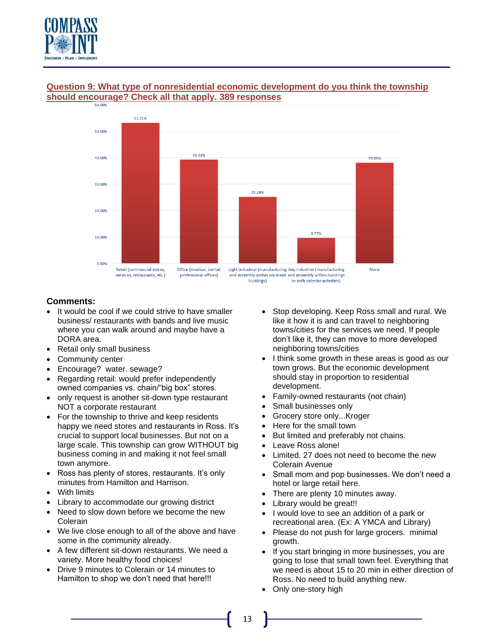

# **Question 9: What type of nonresidential economic development do you think the township should encourage? Check all that apply. 389 responses**



- It would be cool if we could strive to have smaller business/ restaurants with bands and live music where you can walk around and maybe have a DORA area.
- Retail only small business
- Community center
- Encourage? water. sewage?
- Regarding retail: would prefer independently owned companies vs. chain/"big box" stores.
- only request is another sit-down type restaurant NOT a corporate restaurant
- For the township to thrive and keep residents happy we need stores and restaurants in Ross. It's crucial to support local businesses. But not on a large scale. This township can grow WITHOUT big business coming in and making it not feel small town anymore.
- Ross has plenty of stores, restaurants. It's only minutes from Hamilton and Harrison.
- With limits
- Library to accommodate our growing district
- Need to slow down before we become the new Colerain
- We live close enough to all of the above and have some in the community already.
- A few different sit-down restaurants. We need a variety. More healthy food choices!
- Drive 9 minutes to Colerain or 14 minutes to Hamilton to shop we don't need that here!!!
- Stop developing. Keep Ross small and rural. We like it how it is and can travel to neighboring towns/cities for the services we need. If people don't like it, they can move to more developed neighboring towns/cities
- I think some growth in these areas is good as our town grows. But the economic development should stay in proportion to residential development.
- Family-owned restaurants (not chain)
- Small businesses only
- Grocery store only...Kroger
- Here for the small town
- But limited and preferably not chains.
- Leave Ross alone!
- Limited. 27 does not need to become the new Colerain Avenue
- Small mom and pop businesses. We don't need a hotel or large retail here.
- There are plenty 10 minutes away.
- Library would be great!!
- I would love to see an addition of a park or recreational area. (Ex: A YMCA and Library)
- Please do not push for large grocers. minimal growth.
- If you start bringing in more businesses, you are going to lose that small town feel. Everything that we need is about 15 to 20 min in either direction of Ross. No need to build anything new.
- Only one-story high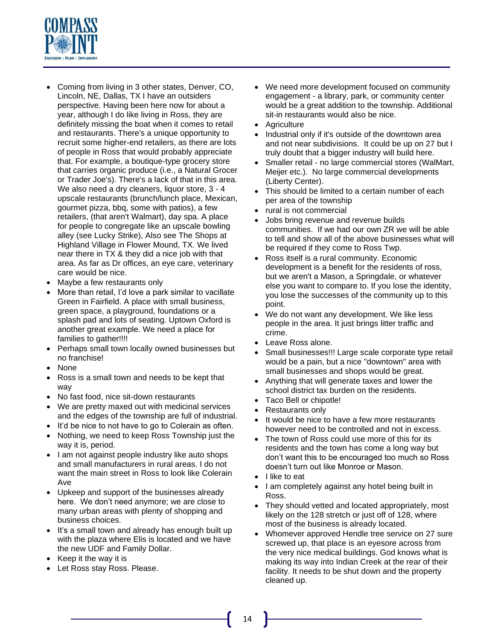

- Coming from living in 3 other states, Denver, CO, Lincoln, NE, Dallas, TX I have an outsiders perspective. Having been here now for about a year, although I do like living in Ross, they are definitely missing the boat when it comes to retail and restaurants. There's a unique opportunity to recruit some higher-end retailers, as there are lots of people in Ross that would probably appreciate that. For example, a boutique-type grocery store that carries organic produce (i.e., a Natural Grocer or Trader Joe's). There's a lack of that in this area. We also need a dry cleaners, liquor store, 3 - 4 upscale restaurants (brunch/lunch place, Mexican, gourmet pizza, bbq, some with patios), a few retailers, (that aren't Walmart), day spa. A place for people to congregate like an upscale bowling alley (see Lucky Strike), Also see The Shops at Highland Village in Flower Mound, TX. We lived near there in TX & they did a nice job with that area. As far as Dr offices, an eye care, veterinary care would be nice.
- Maybe a few restaurants only
- More than retail, I'd love a park similar to vacillate Green in Fairfield. A place with small business, green space, a playground, foundations or a splash pad and lots of seating. Uptown Oxford is another great example. We need a place for families to gather!!!!
- Perhaps small town locally owned businesses but no franchise!
- None
- Ross is a small town and needs to be kept that way
- No fast food, nice sit-down restaurants
- We are pretty maxed out with medicinal services and the edges of the township are full of industrial.
- It'd be nice to not have to go to Colerain as often.
- Nothing, we need to keep Ross Township just the way it is, period.
- I am not against people industry like auto shops and small manufacturers in rural areas. I do not want the main street in Ross to look like Colerain Ave
- Upkeep and support of the businesses already here. We don't need anymore; we are close to many urban areas with plenty of shopping and business choices.
- It's a small town and already has enough built up with the plaza where Elis is located and we have the new UDF and Family Dollar.
- Keep it the way it is
- Let Ross stay Ross. Please.
- We need more development focused on community engagement - a library, park, or community center would be a great addition to the township. Additional sit-in restaurants would also be nice.
- Agriculture
- Industrial only if it's outside of the downtown area and not near subdivisions. It could be up on 27 but I truly doubt that a bigger industry will build here.
- Smaller retail no large commercial stores (WalMart, Meijer etc.). No large commercial developments (Liberty Center).
- This should be limited to a certain number of each per area of the township
- rural is not commercial
- Jobs bring revenue and revenue builds communities. If we had our own ZR we will be able to tell and show all of the above businesses what will be required if they come to Ross Twp.
- Ross itself is a rural community. Economic development is a benefit for the residents of ross, but we aren't a Mason, a Springdale, or whatever else you want to compare to. If you lose the identity, you lose the successes of the community up to this point.
- We do not want any development. We like less people in the area. It just brings litter traffic and crime.
- Leave Ross alone.
- Small businesses!!! Large scale corporate type retail would be a pain, but a nice "downtown" area with small businesses and shops would be great.
- Anything that will generate taxes and lower the school district tax burden on the residents.
- Taco Bell or chipotle!
- Restaurants only
- It would be nice to have a few more restaurants however need to be controlled and not in excess.
- The town of Ross could use more of this for its residents and the town has come a long way but don't want this to be encouraged too much so Ross doesn't turn out like Monroe or Mason.
- I like to eat
- I am completely against any hotel being built in Ross.
- They should vetted and located appropriately, most likely on the 128 stretch or just off of 128, where most of the business is already located.
- Whomever approved Hendle tree service on 27 sure screwed up, that place is an eyesore across from the very nice medical buildings. God knows what is making its way into Indian Creek at the rear of their facility. It needs to be shut down and the property cleaned up.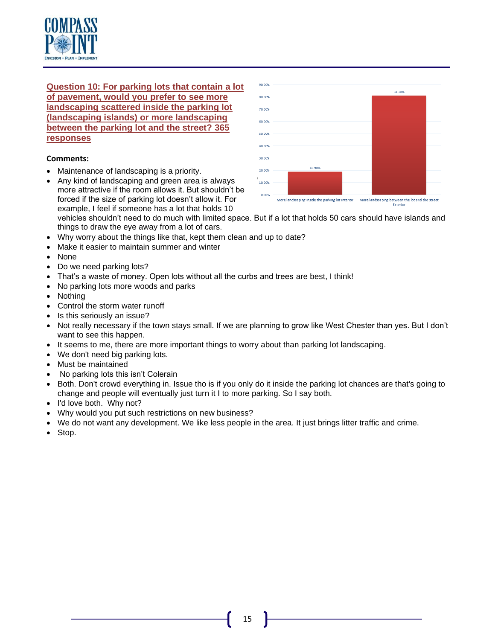

**Question 10: For parking lots that contain a lot of pavement, would you prefer to see more landscaping scattered inside the parking lot (landscaping islands) or more landscaping between the parking lot and the street? 365 responses**

### **Comments:**

- Maintenance of landscaping is a priority.
- Any kind of landscaping and green area is always more attractive if the room allows it. But shouldn't be forced if the size of parking lot doesn't allow it. For example, I feel if someone has a lot that holds 10



More landscaping inside the parking lot Interior More landscaping between the lot and the street

vehicles shouldn't need to do much with limited space. But if a lot that holds 50 cars should have islands and things to draw the eye away from a lot of cars.

- Why worry about the things like that, kept them clean and up to date?
- Make it easier to maintain summer and winter
- None
- Do we need parking lots?
- That's a waste of money. Open lots without all the curbs and trees are best, I think!
- No parking lots more woods and parks
- Nothing
- Control the storm water runoff
- Is this seriously an issue?
- Not really necessary if the town stays small. If we are planning to grow like West Chester than yes. But I don't want to see this happen.
- It seems to me, there are more important things to worry about than parking lot landscaping.
- We don't need big parking lots.
- Must be maintained
- No parking lots this isn't Colerain
- Both. Don't crowd everything in. Issue tho is if you only do it inside the parking lot chances are that's going to change and people will eventually just turn it I to more parking. So I say both.
- I'd love both. Why not?
- Why would you put such restrictions on new business?
- We do not want any development. We like less people in the area. It just brings litter traffic and crime.
- Stop.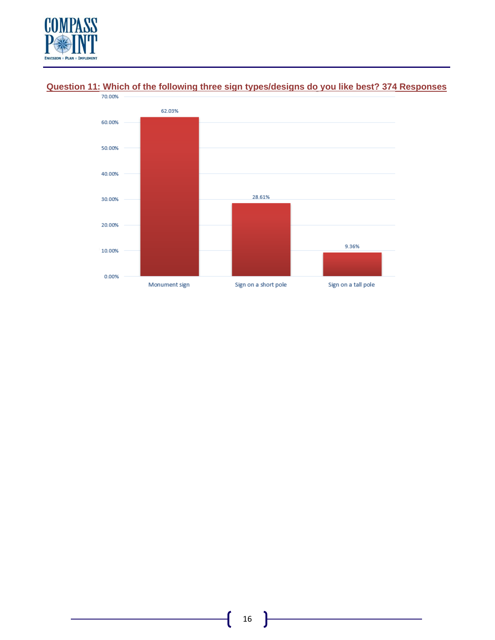



# **Question 11: Which of the following three sign types/designs do you like best? 374 Responses**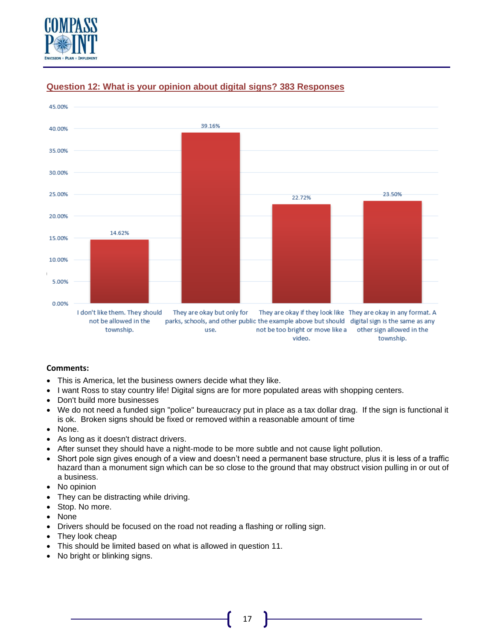



## **Question 12: What is your opinion about digital signs? 383 Responses**

- This is America, let the business owners decide what they like.
- I want Ross to stay country life! Digital signs are for more populated areas with shopping centers.
- Don't build more businesses
- We do not need a funded sign "police" bureaucracy put in place as a tax dollar drag. If the sign is functional it is ok. Broken signs should be fixed or removed within a reasonable amount of time
- None.
- As long as it doesn't distract drivers.
- After sunset they should have a night-mode to be more subtle and not cause light pollution.
- Short pole sign gives enough of a view and doesn't need a permanent base structure, plus it is less of a traffic hazard than a monument sign which can be so close to the ground that may obstruct vision pulling in or out of a business.
- No opinion
- They can be distracting while driving.
- Stop. No more.
- None
- Drivers should be focused on the road not reading a flashing or rolling sign.
- They look cheap
- This should be limited based on what is allowed in question 11.
- No bright or blinking signs.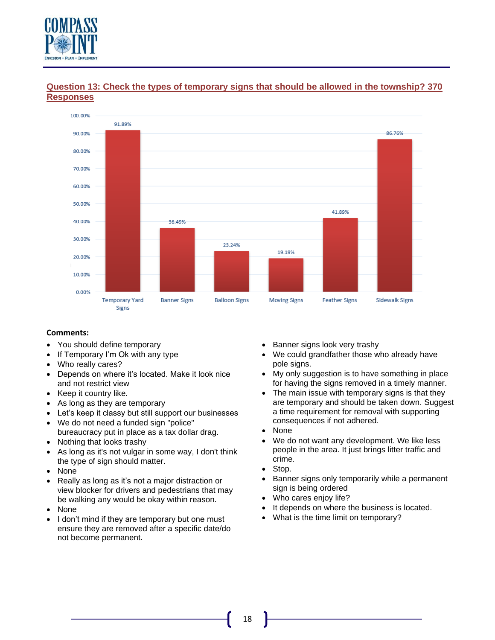



## **Question 13: Check the types of temporary signs that should be allowed in the township? 370 Responses**

- You should define temporary
- If Temporary I'm Ok with any type
- Who really cares?
- Depends on where it's located. Make it look nice and not restrict view
- Keep it country like.
- As long as they are temporary
- Let's keep it classy but still support our businesses
- We do not need a funded sign "police" bureaucracy put in place as a tax dollar drag.
- Nothing that looks trashy
- As long as it's not vulgar in some way, I don't think the type of sign should matter.
- None
- Really as long as it's not a major distraction or view blocker for drivers and pedestrians that may be walking any would be okay within reason.
- None
- I don't mind if they are temporary but one must ensure they are removed after a specific date/do not become permanent.
- Banner signs look very trashy
- We could grandfather those who already have pole signs.
- My only suggestion is to have something in place for having the signs removed in a timely manner.
- The main issue with temporary signs is that they are temporary and should be taken down. Suggest a time requirement for removal with supporting consequences if not adhered.
- None
- We do not want any development. We like less people in the area. It just brings litter traffic and crime.
- Stop.
- Banner signs only temporarily while a permanent sign is being ordered
- Who cares enjoy life?
- It depends on where the business is located.
- What is the time limit on temporary?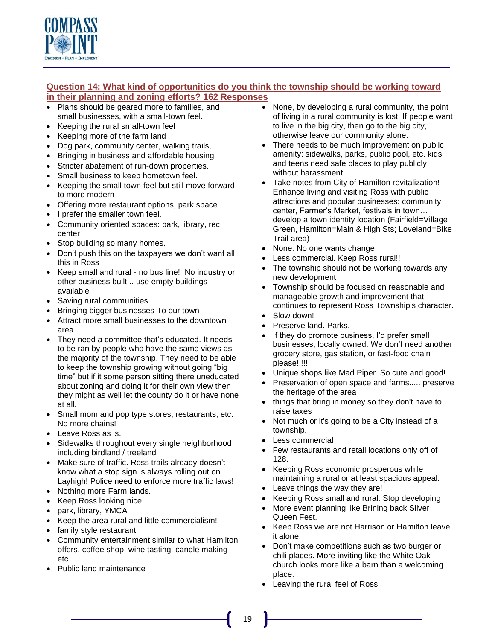

## **Question 14: What kind of opportunities do you think the township should be working toward in their planning and zoning efforts? 162 Responses**

- Plans should be geared more to families, and small businesses, with a small-town feel.
- Keeping the rural small-town feel
- Keeping more of the farm land
- Dog park, community center, walking trails,
- Bringing in business and affordable housing
- Stricter abatement of run-down properties.
- Small business to keep hometown feel.
- Keeping the small town feel but still move forward to more modern
- Offering more restaurant options, park space
- I prefer the smaller town feel.
- Community oriented spaces: park, library, rec center
- Stop building so many homes.
- Don't push this on the taxpayers we don't want all this in Ross
- Keep small and rural no bus line! No industry or other business built... use empty buildings available
- Saving rural communities
- Bringing bigger businesses To our town
- Attract more small businesses to the downtown area.
- They need a committee that's educated. It needs to be ran by people who have the same views as the majority of the township. They need to be able to keep the township growing without going "big time" but if it some person sitting there uneducated about zoning and doing it for their own view then they might as well let the county do it or have none at all.
- Small mom and pop type stores, restaurants, etc. No more chains!
- Leave Ross as is.
- Sidewalks throughout every single neighborhood including birdland / treeland
- Make sure of traffic. Ross trails already doesn't know what a stop sign is always rolling out on Layhigh! Police need to enforce more traffic laws!
- Nothing more Farm lands.
- Keep Ross looking nice
- park, library, YMCA
- Keep the area rural and little commercialism!
- family style restaurant
- Community entertainment similar to what Hamilton offers, coffee shop, wine tasting, candle making etc.
- Public land maintenance
- None, by developing a rural community, the point of living in a rural community is lost. If people want to live in the big city, then go to the big city, otherwise leave our community alone.
- There needs to be much improvement on public amenity: sidewalks, parks, public pool, etc. kids and teens need safe places to play publicly without harassment.
- Take notes from City of Hamilton revitalization! Enhance living and visiting Ross with public attractions and popular businesses: community center, Farmer's Market, festivals in town… develop a town identity location (Fairfield=Village Green, Hamilton=Main & High Sts; Loveland=Bike Trail area)
- None. No one wants change
- Less commercial. Keep Ross rural!!
- The township should not be working towards any new development
- Township should be focused on reasonable and manageable growth and improvement that continues to represent Ross Township's character.
- Slow down!
- Preserve land. Parks.
- If they do promote business, I'd prefer small businesses, locally owned. We don't need another grocery store, gas station, or fast-food chain please!!!!!
- Unique shops like Mad Piper. So cute and good!
- Preservation of open space and farms..... preserve the heritage of the area
- things that bring in money so they don't have to raise taxes
- Not much or it's going to be a City instead of a township.
- Less commercial
- Few restaurants and retail locations only off of 128.
- Keeping Ross economic prosperous while maintaining a rural or at least spacious appeal.
- Leave things the way they are!
- Keeping Ross small and rural. Stop developing
- More event planning like Brining back Silver Queen Fest.
- Keep Ross we are not Harrison or Hamilton leave it alone!
- Don't make competitions such as two burger or chili places. More inviting like the White Oak church looks more like a barn than a welcoming place.
- Leaving the rural feel of Ross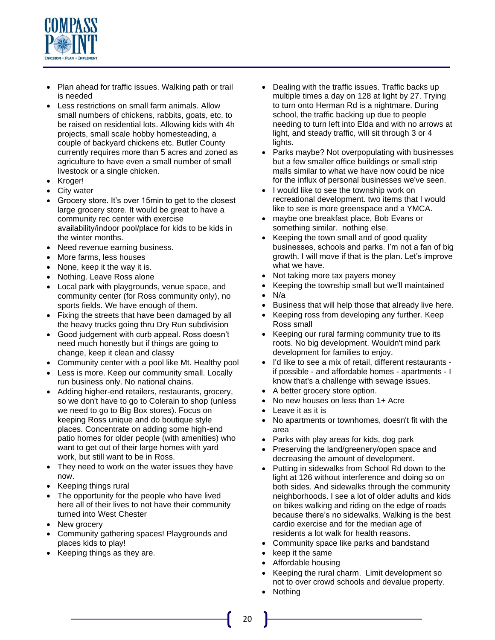

- Plan ahead for traffic issues. Walking path or trail is needed
- Less restrictions on small farm animals. Allow small numbers of chickens, rabbits, goats, etc. to be raised on residential lots. Allowing kids with 4h projects, small scale hobby homesteading, a couple of backyard chickens etc. Butler County currently requires more than 5 acres and zoned as agriculture to have even a small number of small livestock or a single chicken.
- Kroger!
- City water
- Grocery store. It's over 15min to get to the closest large grocery store. It would be great to have a community rec center with exercise availability/indoor pool/place for kids to be kids in the winter months.
- Need revenue earning business.
- More farms, less houses
- None, keep it the way it is.
- Nothing. Leave Ross alone
- Local park with playgrounds, venue space, and community center (for Ross community only), no sports fields. We have enough of them.
- Fixing the streets that have been damaged by all the heavy trucks going thru Dry Run subdivision
- Good judgement with curb appeal. Ross doesn't need much honestly but if things are going to change, keep it clean and classy
- Community center with a pool like Mt. Healthy pool
- Less is more. Keep our community small. Locally run business only. No national chains.
- Adding higher-end retailers, restaurants, grocery, so we don't have to go to Colerain to shop (unless we need to go to Big Box stores). Focus on keeping Ross unique and do boutique style places. Concentrate on adding some high-end patio homes for older people (with amenities) who want to get out of their large homes with yard work, but still want to be in Ross.
- They need to work on the water issues they have now.
- Keeping things rural
- The opportunity for the people who have lived here all of their lives to not have their community turned into West Chester
- New grocery
- Community gathering spaces! Playgrounds and places kids to play!
- Keeping things as they are.
- Dealing with the traffic issues. Traffic backs up multiple times a day on 128 at light by 27. Trying to turn onto Herman Rd is a nightmare. During school, the traffic backing up due to people needing to turn left into Elda and with no arrows at light, and steady traffic, will sit through 3 or 4 lights.
- Parks maybe? Not overpopulating with businesses but a few smaller office buildings or small strip malls similar to what we have now could be nice for the influx of personal businesses we've seen.
- I would like to see the township work on recreational development. two items that I would like to see is more greenspace and a YMCA.
- maybe one breakfast place, Bob Evans or something similar. nothing else.
- Keeping the town small and of good quality businesses, schools and parks. I'm not a fan of big growth. I will move if that is the plan. Let's improve what we have.
- Not taking more tax payers money
- Keeping the township small but we'll maintained
- N/a
- Business that will help those that already live here.
- Keeping ross from developing any further. Keep Ross small
- Keeping our rural farming community true to its roots. No big development. Wouldn't mind park development for families to enjoy.
- I'd like to see a mix of retail, different restaurants if possible - and affordable homes - apartments - I know that's a challenge with sewage issues.
- A better grocery store option.
- No new houses on less than 1+ Acre
- Leave it as it is
- No apartments or townhomes, doesn't fit with the area
- Parks with play areas for kids, dog park
- Preserving the land/greenery/open space and decreasing the amount of development.
- Putting in sidewalks from School Rd down to the light at 126 without interference and doing so on both sides. And sidewalks through the community neighborhoods. I see a lot of older adults and kids on bikes walking and riding on the edge of roads because there's no sidewalks. Walking is the best cardio exercise and for the median age of residents a lot walk for health reasons.
- Community space like parks and bandstand
- keep it the same
- Affordable housing
- Keeping the rural charm. Limit development so not to over crowd schools and devalue property.
- Nothing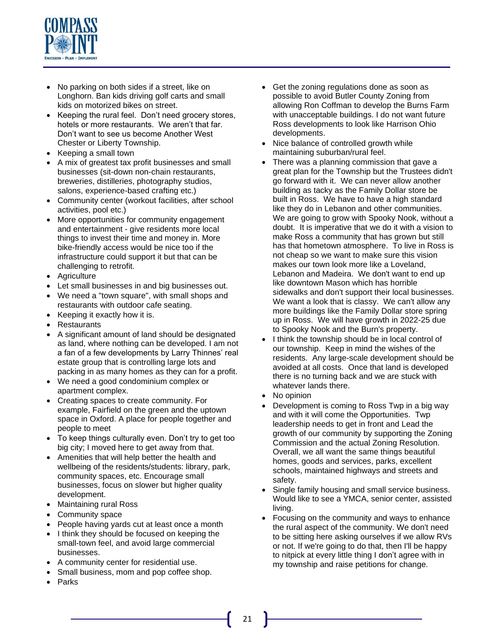

- No parking on both sides if a street, like on Longhorn. Ban kids driving golf carts and small kids on motorized bikes on street.
- Keeping the rural feel. Don't need grocery stores, hotels or more restaurants. We aren't that far. Don't want to see us become Another West Chester or Liberty Township.
- Keeping a small town
- A mix of greatest tax profit businesses and small businesses (sit-down non-chain restaurants, breweries, distilleries, photography studios, salons, experience-based crafting etc.)
- Community center (workout facilities, after school activities, pool etc.)
- More opportunities for community engagement and entertainment - give residents more local things to invest their time and money in. More bike-friendly access would be nice too if the infrastructure could support it but that can be challenging to retrofit.
- Agriculture
- Let small businesses in and big businesses out.
- We need a "town square", with small shops and restaurants with outdoor cafe seating.
- Keeping it exactly how it is.
- **Restaurants**
- A significant amount of land should be designated as land, where nothing can be developed. I am not a fan of a few developments by Larry Thinnes' real estate group that is controlling large lots and packing in as many homes as they can for a profit.
- We need a good condominium complex or apartment complex.
- Creating spaces to create community. For example, Fairfield on the green and the uptown space in Oxford. A place for people together and people to meet
- To keep things culturally even. Don't try to get too big city; I moved here to get away from that.
- Amenities that will help better the health and wellbeing of the residents/students: library, park, community spaces, etc. Encourage small businesses, focus on slower but higher quality development.
- Maintaining rural Ross
- Community space
- People having yards cut at least once a month
- I think they should be focused on keeping the small-town feel, and avoid large commercial businesses.
- A community center for residential use.
- Small business, mom and pop coffee shop.
- Parks
- Get the zoning regulations done as soon as possible to avoid Butler County Zoning from allowing Ron Coffman to develop the Burns Farm with unacceptable buildings. I do not want future Ross developments to look like Harrison Ohio developments.
- Nice balance of controlled growth while maintaining suburban/rural feel.
- There was a planning commission that gave a great plan for the Township but the Trustees didn't go forward with it. We can never allow another building as tacky as the Family Dollar store be built in Ross. We have to have a high standard like they do in Lebanon and other communities. We are going to grow with Spooky Nook, without a doubt. It is imperative that we do it with a vision to make Ross a community that has grown but still has that hometown atmosphere. To live in Ross is not cheap so we want to make sure this vision makes our town look more like a Loveland, Lebanon and Madeira. We don't want to end up like downtown Mason which has horrible sidewalks and don't support their local businesses. We want a look that is classy. We can't allow any more buildings like the Family Dollar store spring up in Ross. We will have growth in 2022-25 due to Spooky Nook and the Burn's property.
- I think the township should be in local control of our township. Keep in mind the wishes of the residents. Any large-scale development should be avoided at all costs. Once that land is developed there is no turning back and we are stuck with whatever lands there.
- No opinion
- Development is coming to Ross Twp in a big way and with it will come the Opportunities. Twp leadership needs to get in front and Lead the growth of our community by supporting the Zoning Commission and the actual Zoning Resolution. Overall, we all want the same things beautiful homes, goods and services, parks, excellent schools, maintained highways and streets and safety.
- Single family housing and small service business. Would like to see a YMCA, senior center, assisted living.
- Focusing on the community and ways to enhance the rural aspect of the community. We don't need to be sitting here asking ourselves if we allow RVs or not. If we're going to do that, then I'll be happy to nitpick at every little thing I don't agree with in my township and raise petitions for change.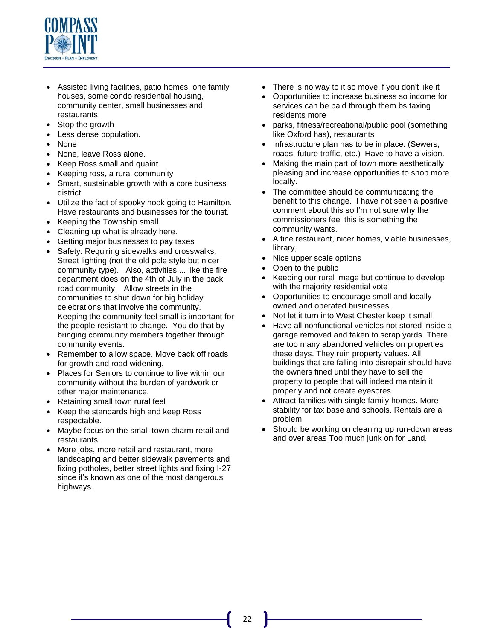

- Assisted living facilities, patio homes, one family houses, some condo residential housing, community center, small businesses and restaurants.
- Stop the growth
- Less dense population.
- None
- None, leave Ross alone.
- Keep Ross small and quaint
- Keeping ross, a rural community
- Smart, sustainable growth with a core business district
- Utilize the fact of spooky nook going to Hamilton. Have restaurants and businesses for the tourist.
- Keeping the Township small.
- Cleaning up what is already here.
- Getting major businesses to pay taxes
- Safety. Requiring sidewalks and crosswalks. Street lighting (not the old pole style but nicer community type). Also, activities.... like the fire department does on the 4th of July in the back road community. Allow streets in the communities to shut down for big holiday celebrations that involve the community. Keeping the community feel small is important for the people resistant to change. You do that by bringing community members together through community events.
- Remember to allow space. Move back off roads for growth and road widening.
- Places for Seniors to continue to live within our community without the burden of yardwork or other major maintenance.
- Retaining small town rural feel
- Keep the standards high and keep Ross respectable.
- Maybe focus on the small-town charm retail and restaurants.
- More jobs, more retail and restaurant, more landscaping and better sidewalk pavements and fixing potholes, better street lights and fixing I-27 since it's known as one of the most dangerous highways.
- There is no way to it so move if you don't like it
- Opportunities to increase business so income for services can be paid through them bs taxing residents more
- parks, fitness/recreational/public pool (something like Oxford has), restaurants
- Infrastructure plan has to be in place. (Sewers, roads, future traffic, etc.) Have to have a vision.
- Making the main part of town more aesthetically pleasing and increase opportunities to shop more locally.
- The committee should be communicating the benefit to this change. I have not seen a positive comment about this so I'm not sure why the commissioners feel this is something the community wants.
- A fine restaurant, nicer homes, viable businesses, library,
- Nice upper scale options
- Open to the public
- Keeping our rural image but continue to develop with the majority residential vote
- Opportunities to encourage small and locally owned and operated businesses.
- Not let it turn into West Chester keep it small
- Have all nonfunctional vehicles not stored inside a garage removed and taken to scrap yards. There are too many abandoned vehicles on properties these days. They ruin property values. All buildings that are falling into disrepair should have the owners fined until they have to sell the property to people that will indeed maintain it properly and not create eyesores.
- Attract families with single family homes. More stability for tax base and schools. Rentals are a problem.
- Should be working on cleaning up run-down areas and over areas Too much junk on for Land.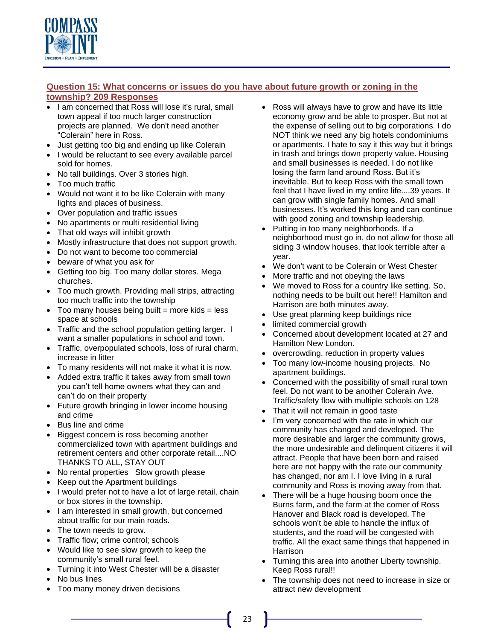

## **Question 15: What concerns or issues do you have about future growth or zoning in the township? 209 Responses**

- I am concerned that Ross will lose it's rural, small town appeal if too much larger construction projects are planned. We don't need another "Colerain" here in Ross.
- Just getting too big and ending up like Colerain
- I would be reluctant to see every available parcel sold for homes.
- No tall buildings. Over 3 stories high.
- Too much traffic
- Would not want it to be like Colerain with many lights and places of business.
- Over population and traffic issues
- No apartments or multi residential living
- That old ways will inhibit growth
- Mostly infrastructure that does not support growth.
- Do not want to become too commercial
- beware of what you ask for
- Getting too big. Too many dollar stores. Mega churches.
- Too much growth. Providing mall strips, attracting too much traffic into the township
- Too many houses being built  $=$  more kids  $=$  less space at schools
- Traffic and the school population getting larger. I want a smaller populations in school and town.
- Traffic, overpopulated schools, loss of rural charm, increase in litter
- To many residents will not make it what it is now.
- Added extra traffic it takes away from small town you can't tell home owners what they can and can't do on their property
- Future growth bringing in lower income housing and crime
- Bus line and crime
- Biggest concern is ross becoming another commercialized town with apartment buildings and retirement centers and other corporate retail....NO THANKS TO ALL, STAY OUT
- No rental properties Slow growth please
- Keep out the Apartment buildings
- I would prefer not to have a lot of large retail, chain or box stores in the township.
- I am interested in small growth, but concerned about traffic for our main roads.
- The town needs to grow.
- Traffic flow; crime control; schools
- Would like to see slow growth to keep the community's small rural feel.
- Turning it into West Chester will be a disaster
- No bus lines
- Too many money driven decisions
- Ross will always have to grow and have its little economy grow and be able to prosper. But not at the expense of selling out to big corporations. I do NOT think we need any big hotels condominiums or apartments. I hate to say it this way but it brings in trash and brings down property value. Housing and small businesses is needed. I do not like losing the farm land around Ross. But it's inevitable. But to keep Ross with the small town feel that I have lived in my entire life....39 years. It can grow with single family homes. And small businesses. It's worked this long and can continue with good zoning and township leadership.
- Putting in too many neighborhoods. If a neighborhood must go in, do not allow for those all siding 3 window houses, that look terrible after a year.
- We don't want to be Colerain or West Chester
- More traffic and not obeying the laws
- We moved to Ross for a country like setting. So, nothing needs to be built out here!! Hamilton and Harrison are both minutes away.
- Use great planning keep buildings nice
- limited commercial growth
- Concerned about development located at 27 and Hamilton New London.
- overcrowding. reduction in property values
- Too many low-income housing projects. No apartment buildings.
- Concerned with the possibility of small rural town feel. Do not want to be another Colerain Ave. Traffic/safety flow with multiple schools on 128
- That it will not remain in good taste
- I'm very concerned with the rate in which our community has changed and developed. The more desirable and larger the community grows, the more undesirable and delinquent citizens it will attract. People that have been born and raised here are not happy with the rate our community has changed, nor am I. I love living in a rural community and Ross is moving away from that.
- There will be a huge housing boom once the Burns farm, and the farm at the corner of Ross Hanover and Black road is developed. The schools won't be able to handle the influx of students, and the road will be congested with traffic. All the exact same things that happened in Harrison
- Turning this area into another Liberty township. Keep Ross rural!!
- The township does not need to increase in size or attract new development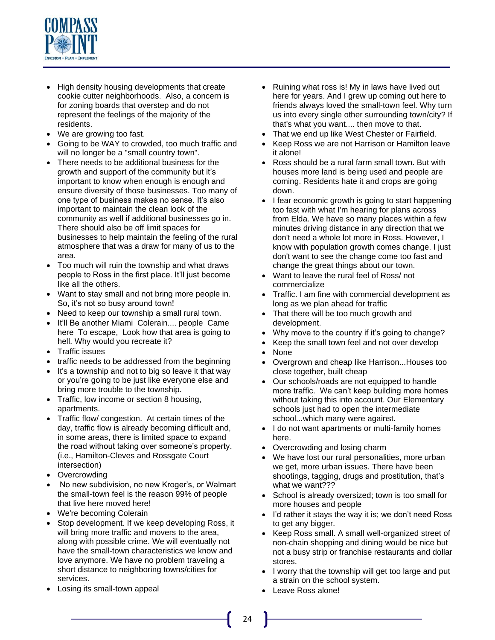

- High density housing developments that create cookie cutter neighborhoods. Also, a concern is for zoning boards that overstep and do not represent the feelings of the majority of the residents.
- We are growing too fast.
- Going to be WAY to crowded, too much traffic and will no longer be a "small country town".
- There needs to be additional business for the growth and support of the community but it's important to know when enough is enough and ensure diversity of those businesses. Too many of one type of business makes no sense. It's also important to maintain the clean look of the community as well if additional businesses go in. There should also be off limit spaces for businesses to help maintain the feeling of the rural atmosphere that was a draw for many of us to the area.
- Too much will ruin the township and what draws people to Ross in the first place. It'll just become like all the others.
- Want to stay small and not bring more people in. So, it's not so busy around town!
- Need to keep our township a small rural town.
- It'll Be another Miami Colerain.... people Came here To escape, Look how that area is going to hell. Why would you recreate it?
- Traffic issues
- traffic needs to be addressed from the beginning
- It's a township and not to big so leave it that way or you're going to be just like everyone else and bring more trouble to the township.
- Traffic, low income or section 8 housing, apartments.
- Traffic flow/ congestion. At certain times of the day, traffic flow is already becoming difficult and, in some areas, there is limited space to expand the road without taking over someone's property. (i.e., Hamilton-Cleves and Rossgate Court intersection)
- Overcrowding
- No new subdivision, no new Kroger's, or Walmart the small-town feel is the reason 99% of people that live here moved here!
- We're becoming Colerain
- Stop development. If we keep developing Ross, it will bring more traffic and movers to the area, along with possible crime. We will eventually not have the small-town characteristics we know and love anymore. We have no problem traveling a short distance to neighboring towns/cities for services.
- Losing its small-town appeal
- Ruining what ross is! My in laws have lived out here for years. And I grew up coming out here to friends always loved the small-town feel. Why turn us into every single other surrounding town/city? If that's what you want.... then move to that.
- That we end up like West Chester or Fairfield.
- Keep Ross we are not Harrison or Hamilton leave it alone!
- Ross should be a rural farm small town. But with houses more land is being used and people are coming. Residents hate it and crops are going down.
- I fear economic growth is going to start happening too fast with what I'm hearing for plans across from Elda. We have so many places within a few minutes driving distance in any direction that we don't need a whole lot more in Ross. However, I know with population growth comes change. I just don't want to see the change come too fast and change the great things about our town.
- Want to leave the rural feel of Ross/ not commercialize
- Traffic. I am fine with commercial development as long as we plan ahead for traffic
- That there will be too much growth and development.
- Why move to the country if it's going to change?
- Keep the small town feel and not over develop
- None
- Overgrown and cheap like Harrison...Houses too close together, built cheap
- Our schools/roads are not equipped to handle more traffic. We can't keep building more homes without taking this into account. Our Elementary schools just had to open the intermediate school...which many were against.
- I do not want apartments or multi-family homes here.
- Overcrowding and losing charm
- We have lost our rural personalities, more urban we get, more urban issues. There have been shootings, tagging, drugs and prostitution, that's what we want???
- School is already oversized; town is too small for more houses and people
- I'd rather it stays the way it is; we don't need Ross to get any bigger.
- Keep Ross small. A small well-organized street of non-chain shopping and dining would be nice but not a busy strip or franchise restaurants and dollar stores.
- I worry that the township will get too large and put a strain on the school system.
- Leave Ross alone!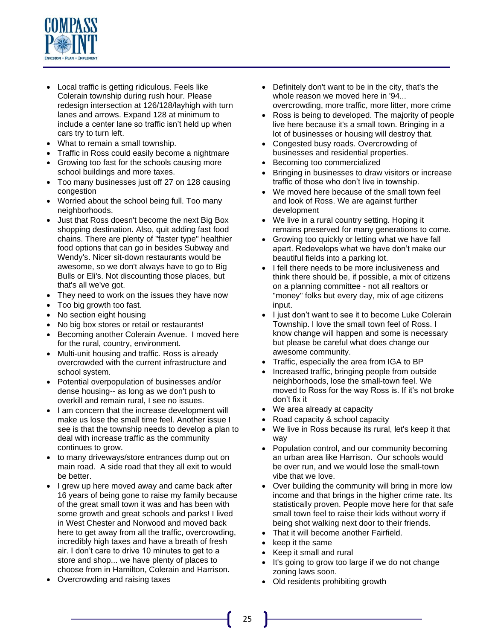

- Local traffic is getting ridiculous. Feels like Colerain township during rush hour. Please redesign intersection at 126/128/layhigh with turn lanes and arrows. Expand 128 at minimum to include a center lane so traffic isn't held up when cars try to turn left.
- What to remain a small township.
- Traffic in Ross could easily become a nightmare
- Growing too fast for the schools causing more school buildings and more taxes.
- Too many businesses just off 27 on 128 causing congestion
- Worried about the school being full. Too many neighborhoods.
- Just that Ross doesn't become the next Big Box shopping destination. Also, quit adding fast food chains. There are plenty of "faster type" healthier food options that can go in besides Subway and Wendy's. Nicer sit-down restaurants would be awesome, so we don't always have to go to Big Bulls or Eli's. Not discounting those places, but that's all we've got.
- They need to work on the issues they have now
- Too big growth too fast.
- No section eight housing
- No big box stores or retail or restaurants!
- Becoming another Colerain Avenue. I moved here for the rural, country, environment.
- Multi-unit housing and traffic. Ross is already overcrowded with the current infrastructure and school system.
- Potential overpopulation of businesses and/or dense housing-- as long as we don't push to overkill and remain rural, I see no issues.
- I am concern that the increase development will make us lose the small time feel. Another issue I see is that the township needs to develop a plan to deal with increase traffic as the community continues to grow.
- to many driveways/store entrances dump out on main road. A side road that they all exit to would be better.
- I grew up here moved away and came back after 16 years of being gone to raise my family because of the great small town it was and has been with some growth and great schools and parks! I lived in West Chester and Norwood and moved back here to get away from all the traffic, overcrowding, incredibly high taxes and have a breath of fresh air. I don't care to drive 10 minutes to get to a store and shop... we have plenty of places to choose from in Hamilton, Colerain and Harrison.
- Overcrowding and raising taxes
- Definitely don't want to be in the city, that's the whole reason we moved here in '94... overcrowding, more traffic, more litter, more crime
- Ross is being to developed. The majority of people live here because it's a small town. Bringing in a lot of businesses or housing will destroy that.
- Congested busy roads. Overcrowding of businesses and residential properties.
- Becoming too commercialized
- Bringing in businesses to draw visitors or increase traffic of those who don't live in township.
- We moved here because of the small town feel and look of Ross. We are against further development
- We live in a rural country setting. Hoping it remains preserved for many generations to come.
- Growing too quickly or letting what we have fall apart. Redevelops what we have don't make our beautiful fields into a parking lot.
- I fell there needs to be more inclusiveness and think there should be, if possible, a mix of citizens on a planning committee - not all realtors or "money" folks but every day, mix of age citizens input.
- I just don't want to see it to become Luke Colerain Township. I love the small town feel of Ross. I know change will happen and some is necessary but please be careful what does change our awesome community.
- Traffic, especially the area from IGA to BP
- Increased traffic, bringing people from outside neighborhoods, lose the small-town feel. We moved to Ross for the way Ross is. If it's not broke don't fix it
- We area already at capacity
- Road capacity & school capacity
- We live in Ross because its rural, let's keep it that way
- Population control, and our community becoming an urban area like Harrison. Our schools would be over run, and we would lose the small-town vibe that we love.
- Over building the community will bring in more low income and that brings in the higher crime rate. Its statistically proven. People move here for that safe small town feel to raise their kids without worry if being shot walking next door to their friends.
- That it will become another Fairfield.
- keep it the same
- Keep it small and rural
- It's going to grow too large if we do not change zoning laws soon.
- Old residents prohibiting growth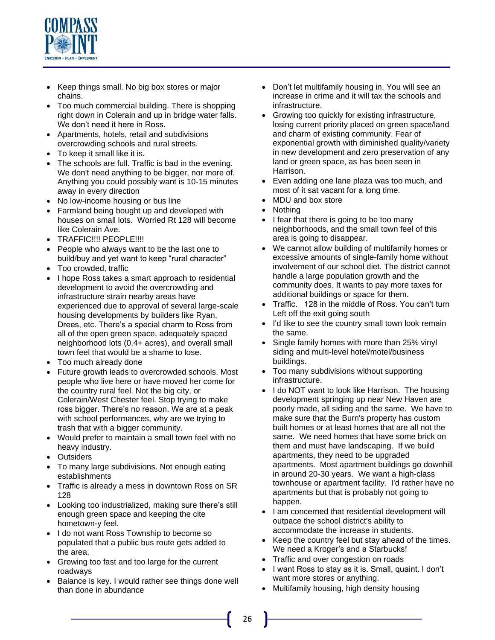

- Keep things small. No big box stores or major chains.
- Too much commercial building. There is shopping right down in Colerain and up in bridge water falls. We don't need it here in Ross.
- Apartments, hotels, retail and subdivisions overcrowding schools and rural streets.
- To keep it small like it is.
- The schools are full. Traffic is bad in the evening. We don't need anything to be bigger, nor more of. Anything you could possibly want is 10-15 minutes away in every direction
- No low-income housing or bus line
- Farmland being bought up and developed with houses on small lots. Worried Rt 128 will become like Colerain Ave.
- TRAFFIC!!!! PEOPLE!!!!
- People who always want to be the last one to build/buy and yet want to keep "rural character"
- Too crowded, traffic
- I hope Ross takes a smart approach to residential development to avoid the overcrowding and infrastructure strain nearby areas have experienced due to approval of several large-scale housing developments by builders like Ryan, Drees, etc. There's a special charm to Ross from all of the open green space, adequately spaced neighborhood lots (0.4+ acres), and overall small town feel that would be a shame to lose.
- Too much already done
- Future growth leads to overcrowded schools. Most people who live here or have moved her come for the country rural feel. Not the big city, or Colerain/West Chester feel. Stop trying to make ross bigger. There's no reason. We are at a peak with school performances, why are we trying to trash that with a bigger community.
- Would prefer to maintain a small town feel with no heavy industry.
- Outsiders
- To many large subdivisions. Not enough eating establishments
- Traffic is already a mess in downtown Ross on SR 128
- Looking too industrialized, making sure there's still enough green space and keeping the cite hometown-y feel.
- I do not want Ross Township to become so populated that a public bus route gets added to the area.
- Growing too fast and too large for the current roadways
- Balance is key. I would rather see things done well than done in abundance
- Don't let multifamily housing in. You will see an increase in crime and it will tax the schools and infrastructure.
- Growing too quickly for existing infrastructure, losing current priority placed on green space/land and charm of existing community. Fear of exponential growth with diminished quality/variety in new development and zero preservation of any land or green space, as has been seen in Harrison.
- Even adding one lane plaza was too much, and most of it sat vacant for a long time.
- MDU and box store
- Nothing
- I fear that there is going to be too many neighborhoods, and the small town feel of this area is going to disappear.
- We cannot allow building of multifamily homes or excessive amounts of single-family home without involvement of our school diet. The district cannot handle a large population growth and the community does. It wants to pay more taxes for additional buildings or space for them.
- Traffic. 128 in the middle of Ross. You can't turn Left off the exit going south
- I'd like to see the country small town look remain the same.
- Single family homes with more than 25% vinyl siding and multi-level hotel/motel/business buildings.
- Too many subdivisions without supporting infrastructure.
- I do NOT want to look like Harrison. The housing development springing up near New Haven are poorly made, all siding and the same. We have to make sure that the Burn's property has custom built homes or at least homes that are all not the same. We need homes that have some brick on them and must have landscaping. If we build apartments, they need to be upgraded apartments. Most apartment buildings go downhill in around 20-30 years. We want a high-class townhouse or apartment facility. I'd rather have no apartments but that is probably not going to happen.
- I am concerned that residential development will outpace the school district's ability to accommodate the increase in students.
- Keep the country feel but stay ahead of the times. We need a Kroger's and a Starbucks!
- Traffic and over congestion on roads
- I want Ross to stay as it is. Small, quaint. I don't want more stores or anything.
- Multifamily housing, high density housing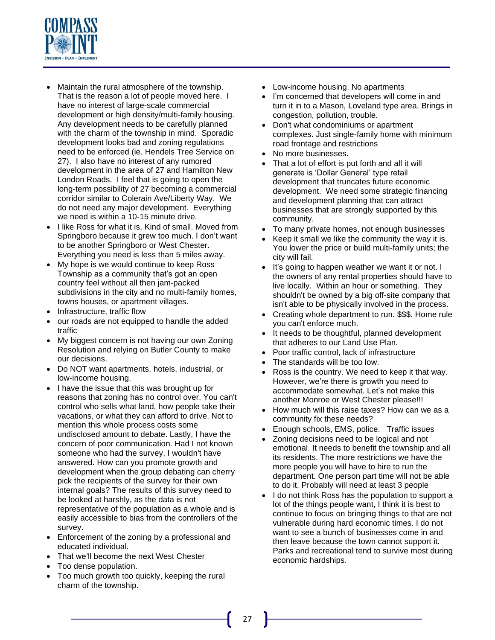

- Maintain the rural atmosphere of the township. That is the reason a lot of people moved here. I have no interest of large-scale commercial development or high density/multi-family housing. Any development needs to be carefully planned with the charm of the township in mind. Sporadic development looks bad and zoning regulations need to be enforced (ie. Hendels Tree Service on 27). I also have no interest of any rumored development in the area of 27 and Hamilton New London Roads. I feel that is going to open the long-term possibility of 27 becoming a commercial corridor similar to Colerain Ave/Liberty Way. We do not need any major development. Everything we need is within a 10-15 minute drive.
- I like Ross for what it is, Kind of small. Moved from Springboro because it grew too much. I don't want to be another Springboro or West Chester. Everything you need is less than 5 miles away.
- My hope is we would continue to keep Ross Township as a community that's got an open country feel without all then jam-packed subdivisions in the city and no multi-family homes, towns houses, or apartment villages.
- Infrastructure, traffic flow
- our roads are not equipped to handle the added traffic
- My biggest concern is not having our own Zoning Resolution and relying on Butler County to make our decisions.
- Do NOT want apartments, hotels, industrial, or low-income housing.
- I have the issue that this was brought up for reasons that zoning has no control over. You can't control who sells what land, how people take their vacations, or what they can afford to drive. Not to mention this whole process costs some undisclosed amount to debate. Lastly, I have the concern of poor communication. Had I not known someone who had the survey, I wouldn't have answered. How can you promote growth and development when the group debating can cherry pick the recipients of the survey for their own internal goals? The results of this survey need to be looked at harshly, as the data is not representative of the population as a whole and is easily accessible to bias from the controllers of the survey.
- Enforcement of the zoning by a professional and educated individual.
- That we'll become the next West Chester
- Too dense population.
- Too much growth too quickly, keeping the rural charm of the township.
- Low-income housing. No apartments
- I'm concerned that developers will come in and turn it in to a Mason, Loveland type area. Brings in congestion, pollution, trouble.
- Don't what condominiums or apartment complexes. Just single-family home with minimum road frontage and restrictions
- No more businesses.
- That a lot of effort is put forth and all it will generate is 'Dollar General' type retail development that truncates future economic development. We need some strategic financing and development planning that can attract businesses that are strongly supported by this community.
- To many private homes, not enough businesses
- Keep it small we like the community the way it is. You lower the price or build multi-family units; the city will fail.
- It's going to happen weather we want it or not. I the owners of any rental properties should have to live locally. Within an hour or something. They shouldn't be owned by a big off-site company that isn't able to be physically involved in the process.
- Creating whole department to run. \$\$\$. Home rule you can't enforce much.
- It needs to be thoughtful, planned development that adheres to our Land Use Plan.
- Poor traffic control, lack of infrastructure
- The standards will be too low.
- Ross is the country. We need to keep it that way. However, we're there is growth you need to accommodate somewhat. Let's not make this another Monroe or West Chester please!!!
- How much will this raise taxes? How can we as a community fix these needs?
- Enough schools, EMS, police. Traffic issues
- Zoning decisions need to be logical and not emotional. It needs to benefit the township and all its residents. The more restrictions we have the more people you will have to hire to run the department. One person part time will not be able to do it. Probably will need at least 3 people
- I do not think Ross has the population to support a lot of the things people want, I think it is best to continue to focus on bringing things to that are not vulnerable during hard economic times. I do not want to see a bunch of businesses come in and then leave because the town cannot support it. Parks and recreational tend to survive most during economic hardships.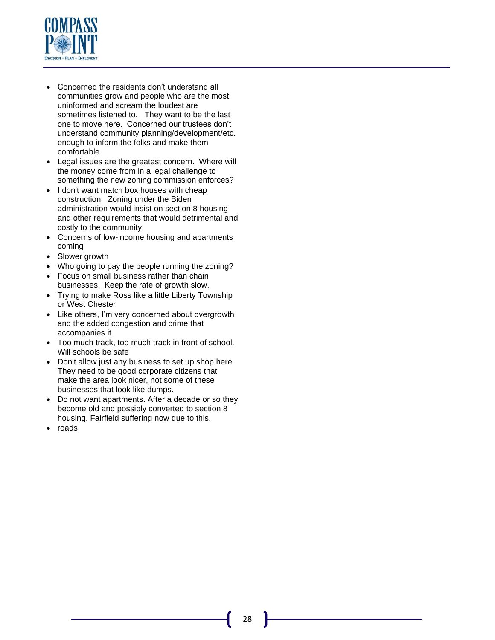

- Concerned the residents don't understand all communities grow and people who are the most uninformed and scream the loudest are sometimes listened to. They want to be the last one to move here. Concerned our trustees don't understand community planning/development/etc. enough to inform the folks and make them comfortable.
- Legal issues are the greatest concern. Where will the money come from in a legal challenge to something the new zoning commission enforces?
- I don't want match box houses with cheap construction. Zoning under the Biden administration would insist on section 8 housing and other requirements that would detrimental and costly to the community.
- Concerns of low-income housing and apartments coming
- Slower growth
- Who going to pay the people running the zoning?
- Focus on small business rather than chain businesses. Keep the rate of growth slow.
- Trying to make Ross like a little Liberty Township or West Chester
- Like others, I'm very concerned about overgrowth and the added congestion and crime that accompanies it.
- Too much track, too much track in front of school. Will schools be safe
- Don't allow just any business to set up shop here. They need to be good corporate citizens that make the area look nicer, not some of these businesses that look like dumps.
- Do not want apartments. After a decade or so they become old and possibly converted to section 8 housing. Fairfield suffering now due to this.
- roads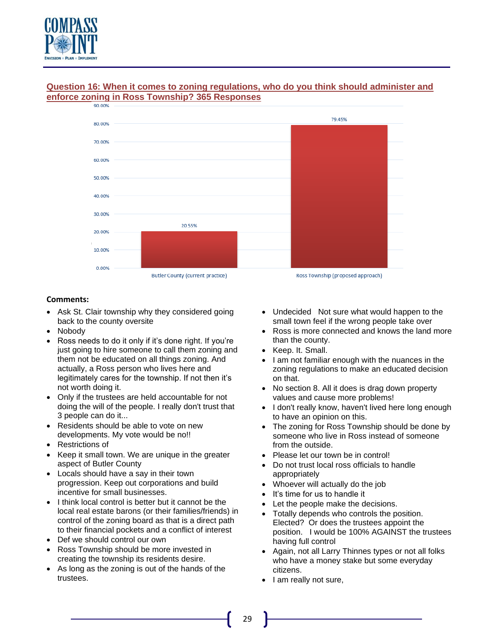



# **Question 16: When it comes to zoning regulations, who do you think should administer and enforce zoning in Ross Township? 365 Responses**

- Ask St. Clair township why they considered going back to the county oversite
- Nobody
- Ross needs to do it only if it's done right. If you're just going to hire someone to call them zoning and them not be educated on all things zoning. And actually, a Ross person who lives here and legitimately cares for the township. If not then it's not worth doing it.
- Only if the trustees are held accountable for not doing the will of the people. I really don't trust that 3 people can do it...
- Residents should be able to vote on new developments. My vote would be no!!
- Restrictions of
- Keep it small town. We are unique in the greater aspect of Butler County
- Locals should have a say in their town progression. Keep out corporations and build incentive for small businesses.
- I think local control is better but it cannot be the local real estate barons (or their families/friends) in control of the zoning board as that is a direct path to their financial pockets and a conflict of interest
- Def we should control our own
- Ross Township should be more invested in creating the township its residents desire.
- As long as the zoning is out of the hands of the trustees.
- Undecided Not sure what would happen to the small town feel if the wrong people take over
- Ross is more connected and knows the land more than the county.
- Keep. It. Small.
- I am not familiar enough with the nuances in the zoning regulations to make an educated decision on that.
- No section 8. All it does is drag down property values and cause more problems!
- I don't really know, haven't lived here long enough to have an opinion on this.
- The zoning for Ross Township should be done by someone who live in Ross instead of someone from the outside.
- Please let our town be in control!
- Do not trust local ross officials to handle appropriately
- Whoever will actually do the job
- It's time for us to handle it
- Let the people make the decisions.
- Totally depends who controls the position. Elected? Or does the trustees appoint the position. I would be 100% AGAINST the trustees having full control
- Again, not all Larry Thinnes types or not all folks who have a money stake but some everyday citizens.
- I am really not sure,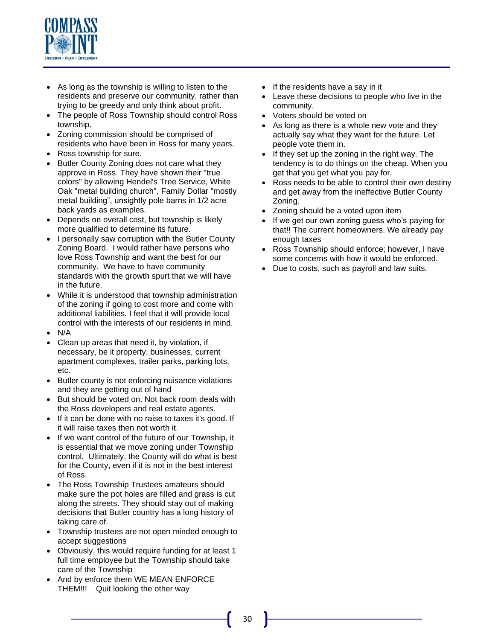

- As long as the township is willing to listen to the residents and preserve our community, rather than trying to be greedy and only think about profit.
- The people of Ross Township should control Ross township.
- Zoning commission should be comprised of residents who have been in Ross for many years.
- Ross township for sure.
- Butler County Zoning does not care what they approve in Ross. They have shown their "true colors" by allowing Hendel's Tree Service, White Oak "metal building church", Family Dollar "mostly metal building", unsightly pole barns in 1/2 acre back yards as examples.
- Depends on overall cost, but township is likely more qualified to determine its future.
- I personally saw corruption with the Butler County Zoning Board. I would rather have persons who love Ross Township and want the best for our community. We have to have community standards with the growth spurt that we will have in the future.
- While it is understood that township administration of the zoning if going to cost more and come with additional liabilities, I feel that it will provide local control with the interests of our residents in mind.
- N/A
- Clean up areas that need it, by violation, if necessary, be it property, businesses, current apartment complexes, trailer parks, parking lots, etc.
- Butler county is not enforcing nuisance violations and they are getting out of hand
- But should be voted on. Not back room deals with the Ross developers and real estate agents.
- If it can be done with no raise to taxes it's good. If it will raise taxes then not worth it.
- If we want control of the future of our Township, it is essential that we move zoning under Township control. Ultimately, the County will do what is best for the County, even if it is not in the best interest of Ross.
- The Ross Township Trustees amateurs should make sure the pot holes are filled and grass is cut along the streets. They should stay out of making decisions that Butler country has a long history of taking care of.
- Township trustees are not open minded enough to accept suggestions
- Obviously, this would require funding for at least 1 full time employee but the Township should take care of the Township
- And by enforce them WE MEAN ENFORCE THEM!!! Quit looking the other way
- If the residents have a say in it
- Leave these decisions to people who live in the community.
- Voters should be voted on
- As long as there is a whole new vote and they actually say what they want for the future. Let people vote them in.
- If they set up the zoning in the right way. The tendency is to do things on the cheap. When you get that you get what you pay for.
- Ross needs to be able to control their own destiny and get away from the ineffective Butler County Zoning.
- Zoning should be a voted upon item
- If we get our own zoning guess who's paying for that!! The current homeowners. We already pay enough taxes
- Ross Township should enforce; however, I have some concerns with how it would be enforced.
- Due to costs, such as payroll and law suits.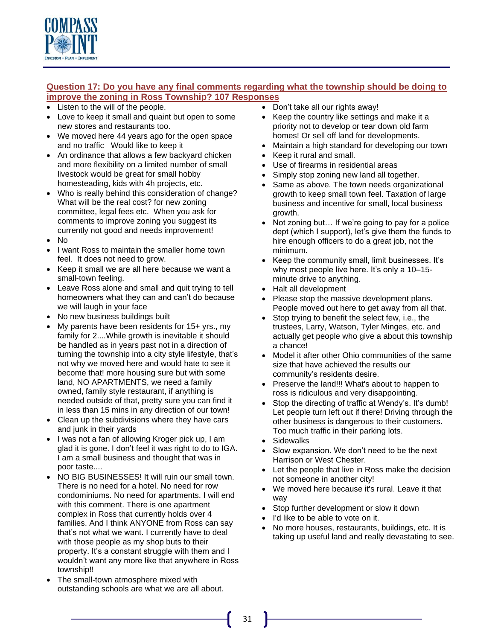

## **Question 17: Do you have any final comments regarding what the township should be doing to improve the zoning in Ross Township? 107 Responses**

- Listen to the will of the people.
- Love to keep it small and quaint but open to some new stores and restaurants too.
- We moved here 44 years ago for the open space and no traffic Would like to keep it
- An ordinance that allows a few backyard chicken and more flexibility on a limited number of small livestock would be great for small hobby homesteading, kids with 4h projects, etc.
- Who is really behind this consideration of change? What will be the real cost? for new zoning committee, legal fees etc. When you ask for comments to improve zoning you suggest its currently not good and needs improvement!
- No
- I want Ross to maintain the smaller home town feel. It does not need to grow.
- Keep it small we are all here because we want a small-town feeling.
- Leave Ross alone and small and quit trying to tell homeowners what they can and can't do because we will laugh in your face
- No new business buildings built
- My parents have been residents for 15+ yrs., my family for 2....While growth is inevitable it should be handled as in years past not in a direction of turning the township into a city style lifestyle, that's not why we moved here and would hate to see it become that! more housing sure but with some land, NO APARTMENTS, we need a family owned, family style restaurant, if anything is needed outside of that, pretty sure you can find it in less than 15 mins in any direction of our town!
- Clean up the subdivisions where they have cars and junk in their yards
- I was not a fan of allowing Kroger pick up, I am glad it is gone. I don't feel it was right to do to IGA. I am a small business and thought that was in poor taste....
- NO BIG BUSINESSES! It will ruin our small town. There is no need for a hotel. No need for row condominiums. No need for apartments. I will end with this comment. There is one apartment complex in Ross that currently holds over 4 families. And I think ANYONE from Ross can say that's not what we want. I currently have to deal with those people as my shop buts to their property. It's a constant struggle with them and I wouldn't want any more like that anywhere in Ross township!!
- The small-town atmosphere mixed with outstanding schools are what we are all about.
- Don't take all our rights away!
- Keep the country like settings and make it a priority not to develop or tear down old farm homes! Or sell off land for developments.
- Maintain a high standard for developing our town
- Keep it rural and small.
- Use of firearms in residential areas
- Simply stop zoning new land all together.
- Same as above. The town needs organizational growth to keep small town feel. Taxation of large business and incentive for small, local business growth.
- Not zoning but... If we're going to pay for a police dept (which I support), let's give them the funds to hire enough officers to do a great job, not the minimum.
- Keep the community small, limit businesses. It's why most people live here. It's only a 10–15 minute drive to anything.
- Halt all development
- Please stop the massive development plans. People moved out here to get away from all that.
- Stop trying to benefit the select few, i.e., the trustees, Larry, Watson, Tyler Minges, etc. and actually get people who give a about this township a chance!
- Model it after other Ohio communities of the same size that have achieved the results our community's residents desire.
- Preserve the land!!! What's about to happen to ross is ridiculous and very disappointing.
- Stop the directing of traffic at Wendy's. It's dumb! Let people turn left out if there! Driving through the other business is dangerous to their customers. Too much traffic in their parking lots.
- Sidewalks
- Slow expansion. We don't need to be the next Harrison or West Chester.
- Let the people that live in Ross make the decision not someone in another city!
- We moved here because it's rural. Leave it that way
- Stop further development or slow it down
- I'd like to be able to vote on it.
- No more houses, restaurants, buildings, etc. It is taking up useful land and really devastating to see.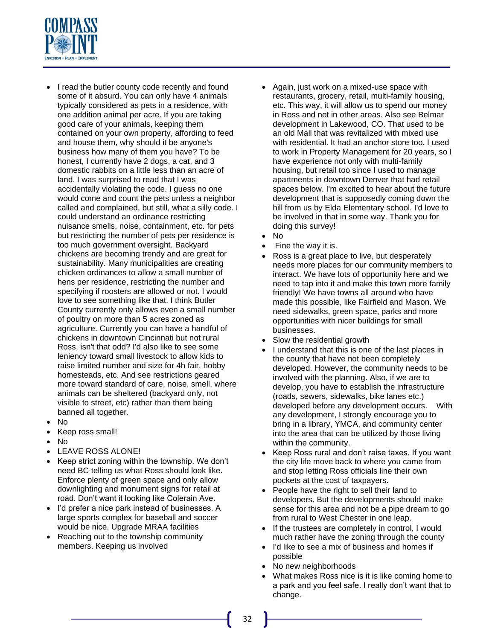

- I read the butler county code recently and found some of it absurd. You can only have 4 animals typically considered as pets in a residence, with one addition animal per acre. If you are taking good care of your animals, keeping them contained on your own property, affording to feed and house them, why should it be anyone's business how many of them you have? To be honest, I currently have 2 dogs, a cat, and 3 domestic rabbits on a little less than an acre of land. I was surprised to read that I was accidentally violating the code. I guess no one would come and count the pets unless a neighbor called and complained, but still, what a silly code. I could understand an ordinance restricting nuisance smells, noise, containment, etc. for pets but restricting the number of pets per residence is too much government oversight. Backyard chickens are becoming trendy and are great for sustainability. Many municipalities are creating chicken ordinances to allow a small number of hens per residence, restricting the number and specifying if roosters are allowed or not. I would love to see something like that. I think Butler County currently only allows even a small number of poultry on more than 5 acres zoned as agriculture. Currently you can have a handful of chickens in downtown Cincinnati but not rural Ross, isn't that odd? I'd also like to see some leniency toward small livestock to allow kids to raise limited number and size for 4h fair, hobby homesteads, etc. And see restrictions geared more toward standard of care, noise, smell, where animals can be sheltered (backyard only, not visible to street, etc) rather than them being banned all together.
- No
- Keep ross small!
- No
- LEAVE ROSS ALONE!
- Keep strict zoning within the township. We don't need BC telling us what Ross should look like. Enforce plenty of green space and only allow downlighting and monument signs for retail at road. Don't want it looking like Colerain Ave.
- I'd prefer a nice park instead of businesses. A large sports complex for baseball and soccer would be nice. Upgrade MRAA facilities
- Reaching out to the township community members. Keeping us involved
- Again, just work on a mixed-use space with restaurants, grocery, retail, multi-family housing, etc. This way, it will allow us to spend our money in Ross and not in other areas. Also see Belmar development in Lakewood, CO. That used to be an old Mall that was revitalized with mixed use with residential. It had an anchor store too. I used to work in Property Management for 20 years, so I have experience not only with multi-family housing, but retail too since I used to manage apartments in downtown Denver that had retail spaces below. I'm excited to hear about the future development that is supposedly coming down the hill from us by Elda Elementary school. I'd love to be involved in that in some way. Thank you for doing this survey!
- No
- Fine the way it is.
- Ross is a great place to live, but desperately needs more places for our community members to interact. We have lots of opportunity here and we need to tap into it and make this town more family friendly! We have towns all around who have made this possible, like Fairfield and Mason. We need sidewalks, green space, parks and more opportunities with nicer buildings for small businesses.
- Slow the residential growth
- I understand that this is one of the last places in the county that have not been completely developed. However, the community needs to be involved with the planning. Also, if we are to develop, you have to establish the infrastructure (roads, sewers, sidewalks, bike lanes etc.) developed before any development occurs. With any development, I strongly encourage you to bring in a library, YMCA, and community center into the area that can be utilized by those living within the community.
- Keep Ross rural and don't raise taxes. If you want the city life move back to where you came from and stop letting Ross officials line their own pockets at the cost of taxpayers.
- People have the right to sell their land to developers. But the developments should make sense for this area and not be a pipe dream to go from rural to West Chester in one leap.
- If the trustees are completely in control, I would much rather have the zoning through the county
- I'd like to see a mix of business and homes if possible
- No new neighborhoods
- What makes Ross nice is it is like coming home to a park and you feel safe. I really don't want that to change.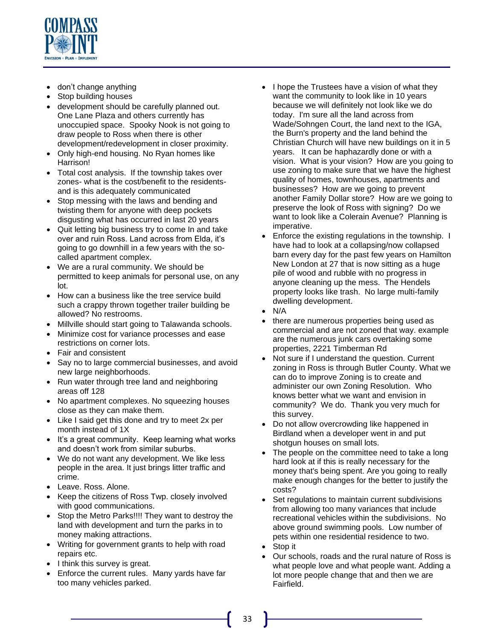

- don't change anything
- Stop building houses
- development should be carefully planned out. One Lane Plaza and others currently has unoccupied space. Spooky Nook is not going to draw people to Ross when there is other development/redevelopment in closer proximity.
- Only high-end housing. No Ryan homes like Harrison!
- Total cost analysis. If the township takes over zones- what is the cost/benefit to the residentsand is this adequately communicated
- Stop messing with the laws and bending and twisting them for anyone with deep pockets disgusting what has occurred in last 20 years
- Quit letting big business try to come In and take over and ruin Ross. Land across from Elda, it's going to go downhill in a few years with the socalled apartment complex.
- We are a rural community. We should be permitted to keep animals for personal use, on any lot.
- How can a business like the tree service build such a crappy thrown together trailer building be allowed? No restrooms.
- Millville should start going to Talawanda schools.
- Minimize cost for variance processes and ease restrictions on corner lots.
- Fair and consistent
- Say no to large commercial businesses, and avoid new large neighborhoods.
- Run water through tree land and neighboring areas off 128
- No apartment complexes. No squeezing houses close as they can make them.
- Like I said get this done and try to meet 2x per month instead of 1X
- It's a great community. Keep learning what works and doesn't work from similar suburbs.
- We do not want any development. We like less people in the area. It just brings litter traffic and crime.
- Leave. Ross. Alone.
- Keep the citizens of Ross Twp. closely involved with good communications.
- Stop the Metro Parks!!!! They want to destroy the land with development and turn the parks in to money making attractions.
- Writing for government grants to help with road repairs etc.
- I think this survey is great.
- Enforce the current rules. Many yards have far too many vehicles parked.
- I hope the Trustees have a vision of what they want the community to look like in 10 years because we will definitely not look like we do today. I'm sure all the land across from Wade/Sohngen Court, the land next to the IGA, the Burn's property and the land behind the Christian Church will have new buildings on it in 5 years. It can be haphazardly done or with a vision. What is your vision? How are you going to use zoning to make sure that we have the highest quality of homes, townhouses, apartments and businesses? How are we going to prevent another Family Dollar store? How are we going to preserve the look of Ross with signing? Do we want to look like a Colerain Avenue? Planning is imperative.
- Enforce the existing regulations in the township. I have had to look at a collapsing/now collapsed barn every day for the past few years on Hamilton New London at 27 that is now sitting as a huge pile of wood and rubble with no progress in anyone cleaning up the mess. The Hendels property looks like trash. No large multi-family dwelling development.
- N/A
- there are numerous properties being used as commercial and are not zoned that way. example are the numerous junk cars overtaking some properties, 2221 Timberman Rd
- Not sure if I understand the question. Current zoning in Ross is through Butler County. What we can do to improve Zoning is to create and administer our own Zoning Resolution. Who knows better what we want and envision in community? We do. Thank you very much for this survey.
- Do not allow overcrowding like happened in Birdland when a developer went in and put shotgun houses on small lots.
- The people on the committee need to take a long hard look at if this is really necessary for the money that's being spent. Are you going to really make enough changes for the better to justify the costs?
- Set regulations to maintain current subdivisions from allowing too many variances that include recreational vehicles within the subdivisions. No above ground swimming pools. Low number of pets within one residential residence to two.
- Stop it
- Our schools, roads and the rural nature of Ross is what people love and what people want. Adding a lot more people change that and then we are Fairfield.